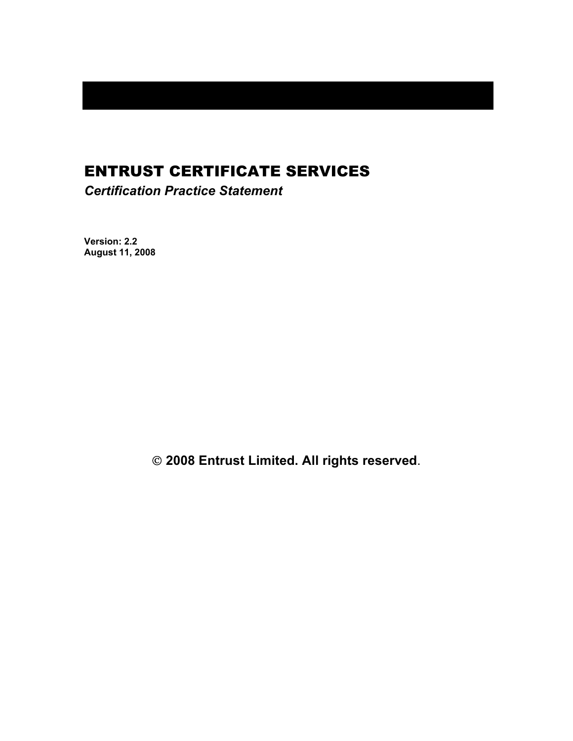# ENTRUST CERTIFICATE SERVICES

*Certification Practice Statement* 

**Version: 2.2 August 11, 2008** 

 **2008 Entrust Limited. All rights reserved**.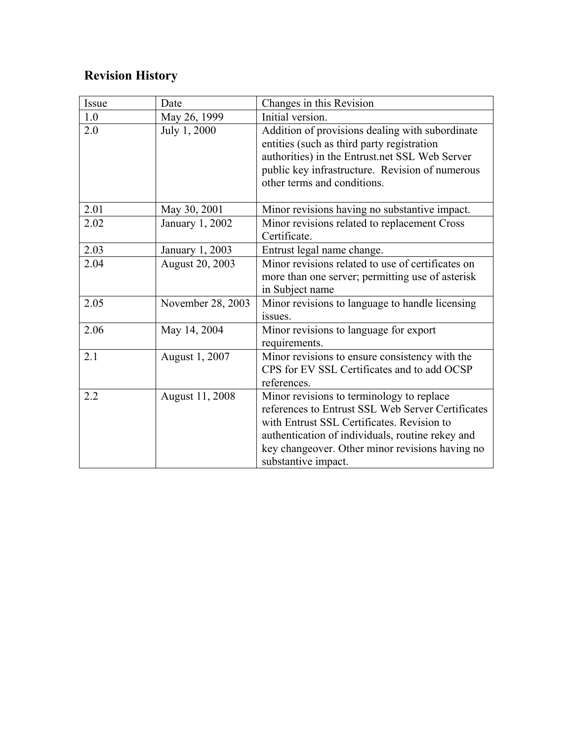# **Revision History**

| Issue | Date              | Changes in this Revision                                                                                                                                                                                                                                                   |  |
|-------|-------------------|----------------------------------------------------------------------------------------------------------------------------------------------------------------------------------------------------------------------------------------------------------------------------|--|
| 1.0   | May 26, 1999      | Initial version.                                                                                                                                                                                                                                                           |  |
| 2.0   | July 1, 2000      | Addition of provisions dealing with subordinate<br>entities (such as third party registration<br>authorities) in the Entrust.net SSL Web Server<br>public key infrastructure. Revision of numerous<br>other terms and conditions.                                          |  |
| 2.01  | May 30, 2001      | Minor revisions having no substantive impact.                                                                                                                                                                                                                              |  |
| 2.02  | January 1, 2002   | Minor revisions related to replacement Cross<br>Certificate.                                                                                                                                                                                                               |  |
| 2.03  | January 1, 2003   | Entrust legal name change.                                                                                                                                                                                                                                                 |  |
| 2.04  | August 20, 2003   | Minor revisions related to use of certificates on<br>more than one server; permitting use of asterisk<br>in Subject name                                                                                                                                                   |  |
| 2.05  | November 28, 2003 | Minor revisions to language to handle licensing<br>issues.                                                                                                                                                                                                                 |  |
| 2.06  | May 14, 2004      | Minor revisions to language for export<br>requirements.                                                                                                                                                                                                                    |  |
| 2.1   | August 1, 2007    | Minor revisions to ensure consistency with the<br>CPS for EV SSL Certificates and to add OCSP<br>references.                                                                                                                                                               |  |
| 2.2   | August 11, 2008   | Minor revisions to terminology to replace<br>references to Entrust SSL Web Server Certificates<br>with Entrust SSL Certificates. Revision to<br>authentication of individuals, routine rekey and<br>key changeover. Other minor revisions having no<br>substantive impact. |  |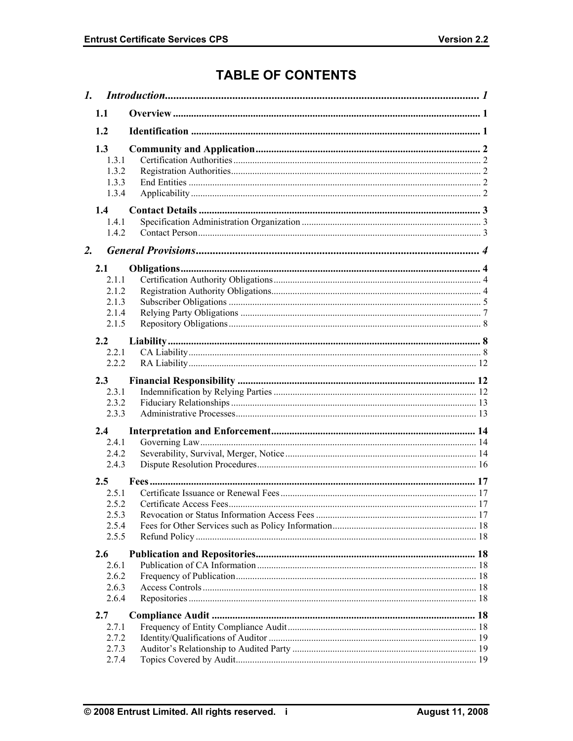# **TABLE OF CONTENTS**

| 1.1                                              |  |  |
|--------------------------------------------------|--|--|
| 1.2                                              |  |  |
| 1.3<br>1.3.1<br>1.3.2<br>1.3.3<br>1.3.4          |  |  |
| 1.4<br>1.4.1<br>1.4.2                            |  |  |
| $\overline{2}$ .                                 |  |  |
| 2.1<br>211<br>2.1.2<br>2.1.3<br>2.1.4<br>2.1.5   |  |  |
| 2.2                                              |  |  |
| 2.2.1<br>2.2.2                                   |  |  |
|                                                  |  |  |
| 2.3<br>2.3.1<br>2.3.2<br>2.3.3                   |  |  |
| 2.4                                              |  |  |
| 2.4.1<br>2.4.2<br>2.4.3                          |  |  |
| 2.5<br>2.5.1<br>2.5.2<br>2.5.3<br>2.5.4<br>2.5.5 |  |  |
| 2.6                                              |  |  |
| 2.6.1<br>2.6.2<br>2.6.3<br>2.6.4                 |  |  |
| 2.7                                              |  |  |
| 2.7.1<br>2.7.2<br>2.7.3<br>2.7.4                 |  |  |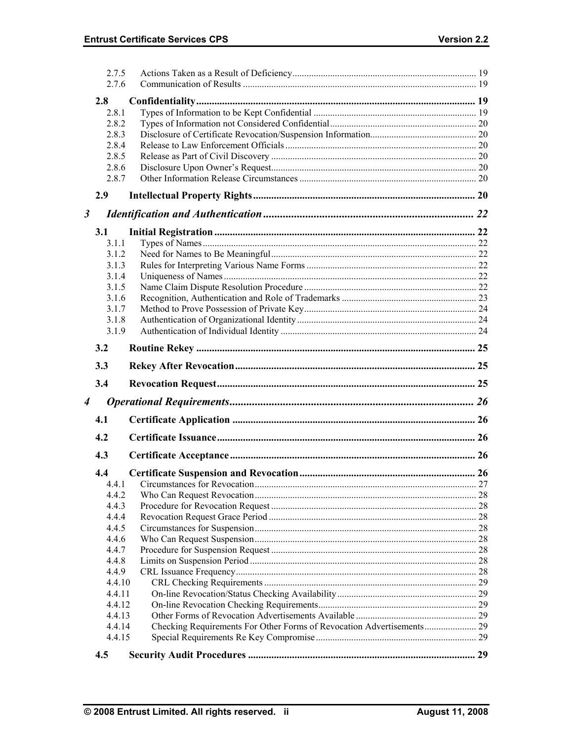|                      | 2.7.5<br>2.7.6 |  |
|----------------------|----------------|--|
|                      |                |  |
|                      | 2.8            |  |
|                      | 2.8.1          |  |
|                      | 2.8.2          |  |
|                      | 2.8.3          |  |
|                      | 2.8.4          |  |
|                      | 2.8.5          |  |
|                      | 2.8.6          |  |
|                      | 2.8.7          |  |
|                      | 2.9            |  |
| $\boldsymbol{\beta}$ |                |  |
|                      | 3.1            |  |
|                      | 3.1.1          |  |
|                      | 3.1.2          |  |
|                      | 3.1.3          |  |
|                      | 3.1.4          |  |
|                      | 3.1.5          |  |
|                      | 3.1.6          |  |
|                      | 3.1.7          |  |
|                      | 3.1.8          |  |
|                      | 3.1.9          |  |
|                      |                |  |
|                      | 3.2            |  |
|                      | 3.3            |  |
|                      | 3.4            |  |
| $\boldsymbol{4}$     |                |  |
|                      | 4.1            |  |
|                      | 4.2            |  |
|                      | 4.3            |  |
|                      | 4.4            |  |
|                      | 4.4.1          |  |
|                      | 4.4.2          |  |
|                      | 4.4.3          |  |
|                      | 4.4.4          |  |
|                      | 4.4.5          |  |
|                      | 4.4.6          |  |
|                      | 4.4.7          |  |
|                      | 4.4.8          |  |
|                      | 4.4.9          |  |
|                      | 4.4.10         |  |
|                      | 4.4.11         |  |
|                      | 4.4.12         |  |
|                      | 4.4.13         |  |
|                      | 4.4.14         |  |
|                      | 4.4.15         |  |
|                      | 4.5            |  |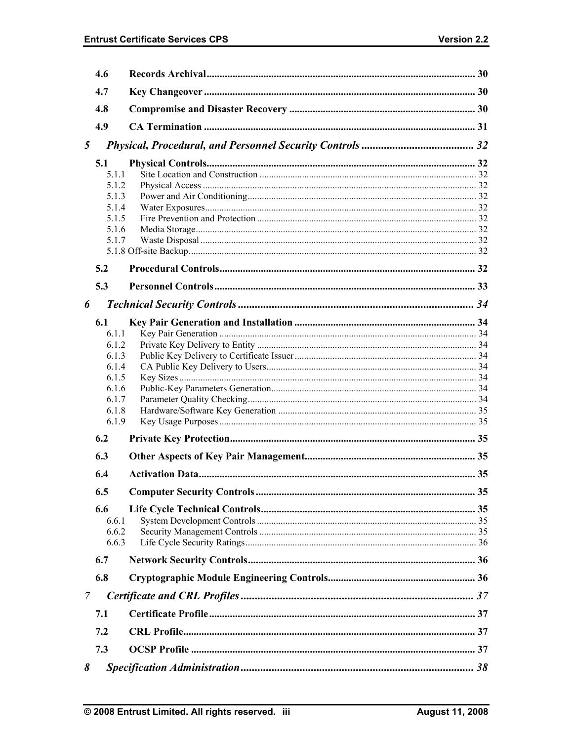|   | 4.6                                                                                  |  |
|---|--------------------------------------------------------------------------------------|--|
|   | 4.7                                                                                  |  |
|   | 4.8                                                                                  |  |
|   | 4.9                                                                                  |  |
| 5 |                                                                                      |  |
|   | 5.1<br>5.1.1<br>5 1 2<br>5.1.3<br>5.1.4<br>5.1.5<br>5.1.6<br>5.1.7                   |  |
|   | 5.2                                                                                  |  |
|   | 5.3                                                                                  |  |
| 6 |                                                                                      |  |
|   | 6.1<br>6.1.1<br>6.1.2<br>6.1.3<br>6.1.4<br>6.1.5<br>6.1.6<br>6.1.7<br>6.1.8<br>6.1.9 |  |
|   | 6.2                                                                                  |  |
|   | 6.3                                                                                  |  |
|   | 6.4                                                                                  |  |
|   | 6.5<br>6.6<br>6.6.1<br>6.6.2<br>6.6.3                                                |  |
|   | 6.7                                                                                  |  |
|   | 6.8                                                                                  |  |
| 7 |                                                                                      |  |
|   | 7.1                                                                                  |  |
|   | 7.2                                                                                  |  |
|   | 7.3                                                                                  |  |
| 8 |                                                                                      |  |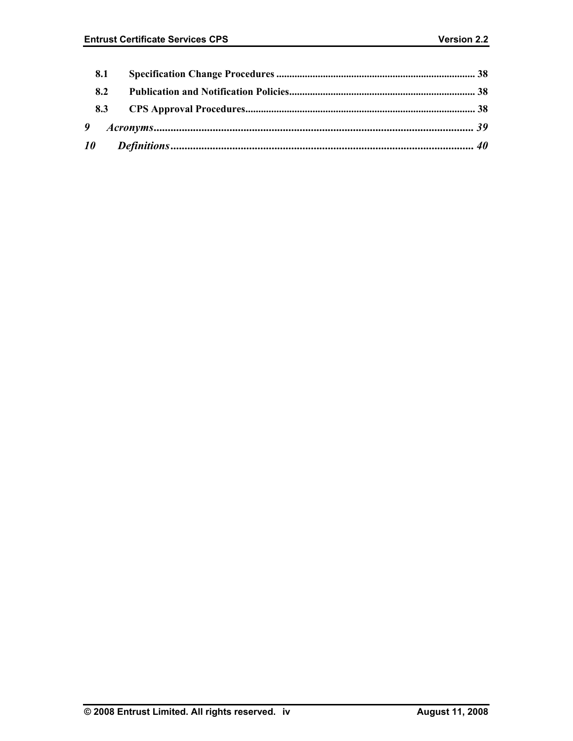| 8.1 |  |
|-----|--|
| 8.2 |  |
|     |  |
|     |  |
|     |  |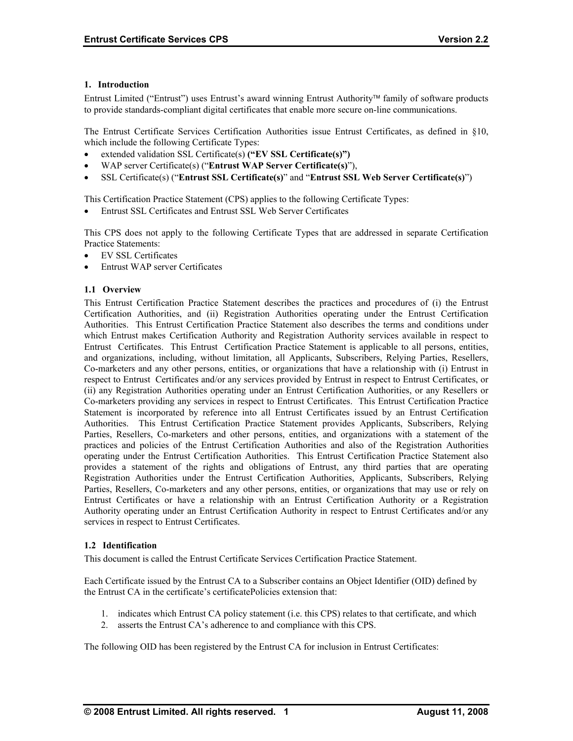# <span id="page-6-0"></span>**1. Introduction**

Entrust Limited ("Entrust") uses Entrust's award winning Entrust Authority family of software products to provide standards-compliant digital certificates that enable more secure on-line communications.

The Entrust Certificate Services Certification Authorities issue Entrust Certificates, as defined in §10, which include the following Certificate Types:

- extended validation SSL Certificate(s) **("EV SSL Certificate(s)")**
- WAP server Certificate(s) ("**Entrust WAP Server Certificate(s)**"),
- SSL Certificate(s) ("**Entrust SSL Certificate(s)**" and "**Entrust SSL Web Server Certificate(s)**")

This Certification Practice Statement (CPS) applies to the following Certificate Types:

• Entrust SSL Certificates and Entrust SSL Web Server Certificates

This CPS does not apply to the following Certificate Types that are addressed in separate Certification Practice Statements:

- EV SSL Certificates
- Entrust WAP server Certificates

# **1.1 Overview**

This Entrust Certification Practice Statement describes the practices and procedures of (i) the Entrust Certification Authorities, and (ii) Registration Authorities operating under the Entrust Certification Authorities. This Entrust Certification Practice Statement also describes the terms and conditions under which Entrust makes Certification Authority and Registration Authority services available in respect to Entrust Certificates. This Entrust Certification Practice Statement is applicable to all persons, entities, and organizations, including, without limitation, all Applicants, Subscribers, Relying Parties, Resellers, Co-marketers and any other persons, entities, or organizations that have a relationship with (i) Entrust in respect to Entrust Certificates and/or any services provided by Entrust in respect to Entrust Certificates, or (ii) any Registration Authorities operating under an Entrust Certification Authorities, or any Resellers or Co-marketers providing any services in respect to Entrust Certificates. This Entrust Certification Practice Statement is incorporated by reference into all Entrust Certificates issued by an Entrust Certification Authorities. This Entrust Certification Practice Statement provides Applicants, Subscribers, Relying Parties, Resellers, Co-marketers and other persons, entities, and organizations with a statement of the practices and policies of the Entrust Certification Authorities and also of the Registration Authorities operating under the Entrust Certification Authorities. This Entrust Certification Practice Statement also provides a statement of the rights and obligations of Entrust, any third parties that are operating Registration Authorities under the Entrust Certification Authorities, Applicants, Subscribers, Relying Parties, Resellers, Co-marketers and any other persons, entities, or organizations that may use or rely on Entrust Certificates or have a relationship with an Entrust Certification Authority or a Registration Authority operating under an Entrust Certification Authority in respect to Entrust Certificates and/or any services in respect to Entrust Certificates.

#### **1.2 Identification**

This document is called the Entrust Certificate Services Certification Practice Statement.

Each Certificate issued by the Entrust CA to a Subscriber contains an Object Identifier (OID) defined by the Entrust CA in the certificate's certificatePolicies extension that:

- 1. indicates which Entrust CA policy statement (i.e. this CPS) relates to that certificate, and which
- 2. asserts the Entrust CA's adherence to and compliance with this CPS.

The following OID has been registered by the Entrust CA for inclusion in Entrust Certificates: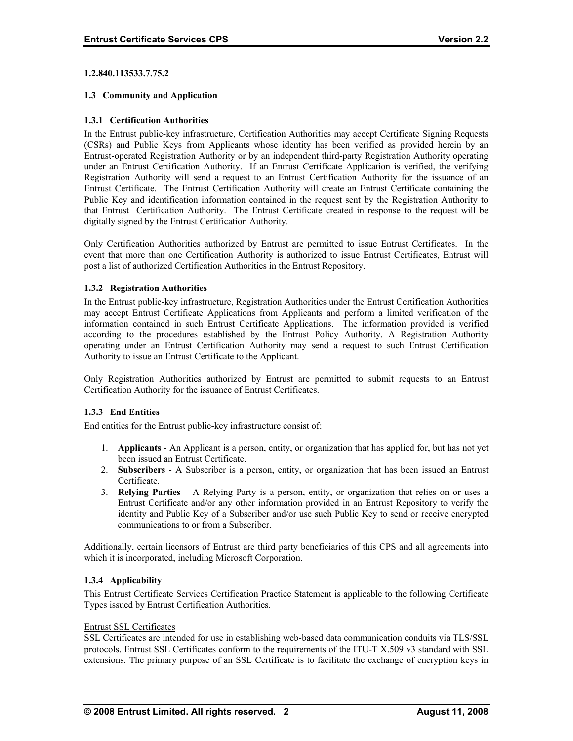# <span id="page-7-0"></span>**1.2.840.113533.7.75.2**

# **1.3 Community and Application**

# **1.3.1 Certification Authorities**

Public Key and identification information contained in the request sent by the Registration Authority to that Entrust Certification Authority. The Entrust Certificate created in response to the request will be In the Entrust public-key infrastructure, Certification Authorities may accept Certificate Signing Requests (CSRs) and Public Keys from Applicants whose identity has been verified as provided herein by an Entrust-operated Registration Authority or by an independent third-party Registration Authority operating under an Entrust Certification Authority. If an Entrust Certificate Application is verified, the verifying Registration Authority will send a request to an Entrust Certification Authority for the issuance of an Entrust Certificate. The Entrust Certification Authority will create an Entrust Certificate containing the digitally signed by the Entrust Certification Authority.

Only Certification Authorities authorized by Entrust are permitted to issue Entrust Certificates. In the event that more than one Certification Authority is authorized to issue Entrust Certificates, Entrust will post a list of authorized Certification Authorities in the Entrust Repository.

# **1.3.2 Registration Authorities**

according to the procedures established by the Entrust Policy Authority. A Registration Authority perating under an Entrust Certification Authority may send a request to such Entrust Certification o In the Entrust public-key infrastructure, Registration Authorities under the Entrust Certification Authorities may accept Entrust Certificate Applications from Applicants and perform a limited verification of the information contained in such Entrust Certificate Applications. The information provided is verified Authority to issue an Entrust Certificate to the Applicant.

Only Registration Authorities authorized by Entrust are permitted to submit requests to an Entrust Certification Authority for the issuance of Entrust Certificates.

#### **.3.3 End Entities 1**

End entities for the Entrust public-key infrastructure consist of:

- been issued an Entrust Certificate. 1. **Applicants** - An Applicant is a person, entity, or organization that has applied for, but has not yet
- 2. **Subscribers**  A Subscriber is a person, entity, or organization that has been issued an Entrust Certificate.
- 3. **Relying Parties**  A Relying Party is a person, entity, or organization that relies on or uses a Entrust Certificate and/or any other information provided in an Entrust Repository to verify the identity and Public Key of a Subscriber and/or use such Public Key to send or receive encrypted communications to or from a Subscriber.

Additionally, certain licensors of Entrust are third party beneficiaries of this CPS and all agreements into which it is incorporated, including Microsoft Corporation.

# **1.3.4 Applicability**

This Entrust Certificate Services Certification Practice Statement is applicable to the following Certificate Types issued by Entrust Certification Authorities.

#### Entrust SSL Certificates

SSL Certificates are intended for use in establishing web-based data communication conduits via TLS/SSL protocols. Entrust SSL Certificates conform to the requirements of the ITU-T X.509 v3 standard with SSL extensions. The primary purpose of an SSL Certificate is to facilitate the exchange of encryption keys in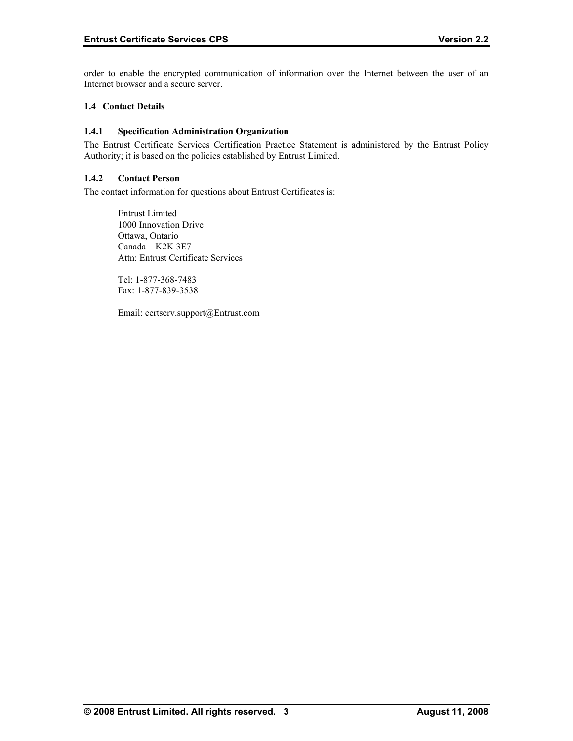<span id="page-8-0"></span>order to enable the encrypted communication of information over the Internet between the user of an Internet browser and a secure server.

# **1.4 Contact Details**

# **1.4.1 Specification Administration Organization**

The Entrust Certificate Services Certification Practice Statement is administered by the Entrust Policy Authority; it is based on the policies established by Entrust Limited.

# **1.4.2 Contact Person**

The contact information for questions about Entrust Certificates is:

Ottawa, Ontario Attn: Entrust Certificate Services Entrust Limited 1000 Innovation Drive Canada K2K 3E7

 Fax: 1-877-839-3538 Tel: 1-877-368-7483

Email: certserv.support@Entrust.com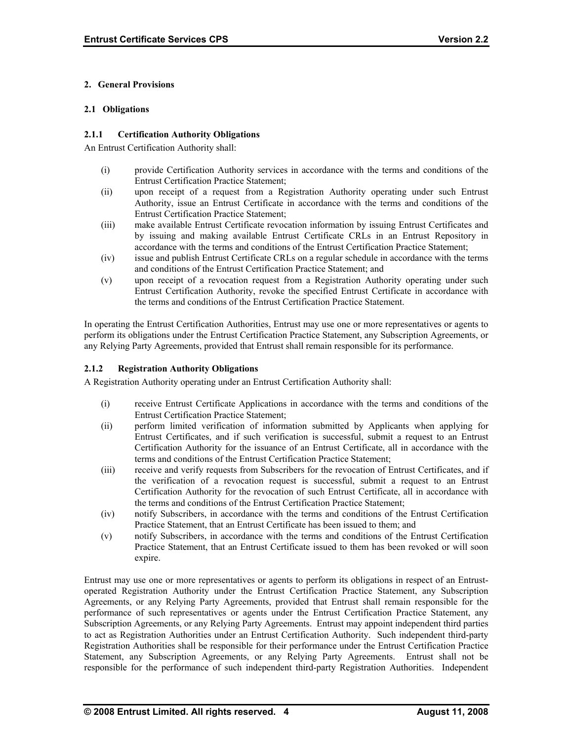# <span id="page-9-0"></span>**2. General Provisions**

# **2.1 Obligations**

# **2.1.1 Certification Authority Obligations**

An Entrust Certification Authority shall:

- (i) provide Certification Authority services in accordance with the terms and conditions of the Entrust Certification Practice Statement;
- (ii) upon receipt of a request from a Registration Authority operating under such Entrust Authority, issue an Entrust Certificate in accordance with the terms and conditions of the Entrust Certification Practice Statement;
- (iii) make available Entrust Certificate revocation information by issuing Entrust Certificates and by issuing and making available Entrust Certificate CRLs in an Entrust Repository in accordance with the terms and conditions of the Entrust Certification Practice Statement;
- (iv) issue and publish Entrust Certificate CRLs on a regular schedule in accordance with the terms and conditions of the Entrust Certification Practice Statement; and
- (v) upon receipt of a revocation request from a Registration Authority operating under such Entrust Certification Authority, revoke the specified Entrust Certificate in accordance with the terms and conditions of the Entrust Certification Practice Statement.

In operating the Entrust Certification Authorities, Entrust may use one or more representatives or agents to perform its obligations under the Entrust Certification Practice Statement, any Subscription Agreements, or any Relying Party Agreements, provided that Entrust shall remain responsible for its performance.

# **2.1.2 Registration Authority Obligations**

A Registration Authority operating under an Entrust Certification Authority shall:

- (i) receive Entrust Certificate Applications in accordance with the terms and conditions of the Entrust Certification Practice Statement;
- (ii) perform limited verification of information submitted by Applicants when applying for Entrust Certificates, and if such verification is successful, submit a request to an Entrust Certification Authority for the issuance of an Entrust Certificate, all in accordance with the terms and conditions of the Entrust Certification Practice Statement;
- (iii) receive and verify requests from Subscribers for the revocation of Entrust Certificates, and if the verification of a revocation request is successful, submit a request to an Entrust Certification Authority for the revocation of such Entrust Certificate, all in accordance with the terms and conditions of the Entrust Certification Practice Statement;
- (iv) notify Subscribers, in accordance with the terms and conditions of the Entrust Certification Practice Statement, that an Entrust Certificate has been issued to them; and
- (v) notify Subscribers, in accordance with the terms and conditions of the Entrust Certification Practice Statement, that an Entrust Certificate issued to them has been revoked or will soon expire.

Entrust may use one or more representatives or agents to perform its obligations in respect of an Entrustoperated Registration Authority under the Entrust Certification Practice Statement, any Subscription Agreements, or any Relying Party Agreements, provided that Entrust shall remain responsible for the performance of such representatives or agents under the Entrust Certification Practice Statement, any Subscription Agreements, or any Relying Party Agreements. Entrust may appoint independent third parties to act as Registration Authorities under an Entrust Certification Authority. Such independent third-party Registration Authorities shall be responsible for their performance under the Entrust Certification Practice Statement, any Subscription Agreements, or any Relying Party Agreements. Entrust shall not be responsible for the performance of such independent third-party Registration Authorities. Independent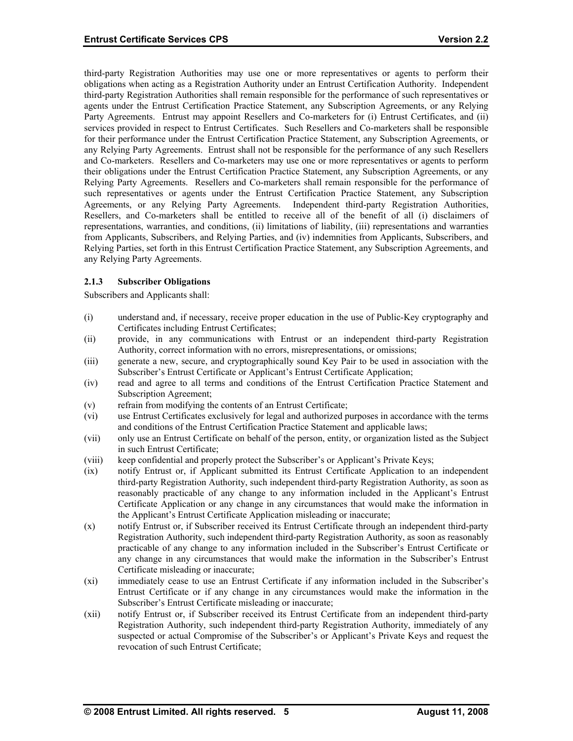<span id="page-10-0"></span>third-party Registration Authorities may use one or more representatives or agents to perform their obligations when acting as a Registration Authority under an Entrust Certification Authority. Independent third-party Registration Authorities shall remain responsible for the performance of such representatives or agents under the Entrust Certification Practice Statement, any Subscription Agreements, or any Relying Party Agreements. Entrust may appoint Resellers and Co-marketers for (i) Entrust Certificates, and (ii) services provided in respect to Entrust Certificates. Such Resellers and Co-marketers shall be responsible for their performance under the Entrust Certification Practice Statement, any Subscription Agreements, or any Relying Party Agreements. Entrust shall not be responsible for the performance of any such Resellers and Co-marketers. Resellers and Co-marketers may use one or more representatives or agents to perform their obligations under the Entrust Certification Practice Statement, any Subscription Agreements, or any Relying Party Agreements. Resellers and Co-marketers shall remain responsible for the performance of such representatives or agents under the Entrust Certification Practice Statement, any Subscription Agreements, or any Relying Party Agreements. Independent third-party Registration Authorities, Resellers, and Co-marketers shall be entitled to receive all of the benefit of all (i) disclaimers of representations, warranties, and conditions, (ii) limitations of liability, (iii) representations and warranties from Applicants, Subscribers, and Relying Parties, and (iv) indemnities from Applicants, Subscribers, and Relying Parties, set forth in this Entrust Certification Practice Statement, any Subscription Agreements, and any Relying Party Agreements.

# **2.1.3 Subscriber Obligations**

Subscribers and Applicants shall:

- (i) understand and, if necessary, receive proper education in the use of Public-Key cryptography and Certificates including Entrust Certificates;
- (ii) provide, in any communications with Entrust or an independent third-party Registration Authority, correct information with no errors, misrepresentations, or omissions;
- (iii) generate a new, secure, and cryptographically sound Key Pair to be used in association with the Subscriber's Entrust Certificate or Applicant's Entrust Certificate Application;
- (iv) read and agree to all terms and conditions of the Entrust Certification Practice Statement and Subscription Agreement;
- (v) refrain from modifying the contents of an Entrust Certificate;
- (vi) use Entrust Certificates exclusively for legal and authorized purposes in accordance with the terms and conditions of the Entrust Certification Practice Statement and applicable laws;
- (vii) only use an Entrust Certificate on behalf of the person, entity, or organization listed as the Subject in such Entrust Certificate;
- (viii) keep confidential and properly protect the Subscriber's or Applicant's Private Keys;
- (ix) notify Entrust or, if Applicant submitted its Entrust Certificate Application to an independent third-party Registration Authority, such independent third-party Registration Authority, as soon as reasonably practicable of any change to any information included in the Applicant's Entrust Certificate Application or any change in any circumstances that would make the information in the Applicant's Entrust Certificate Application misleading or inaccurate;
- (x) notify Entrust or, if Subscriber received its Entrust Certificate through an independent third-party Registration Authority, such independent third-party Registration Authority, as soon as reasonably practicable of any change to any information included in the Subscriber's Entrust Certificate or any change in any circumstances that would make the information in the Subscriber's Entrust Certificate misleading or inaccurate;
- (xi) immediately cease to use an Entrust Certificate if any information included in the Subscriber's Entrust Certificate or if any change in any circumstances would make the information in the Subscriber's Entrust Certificate misleading or inaccurate;
- (xii) notify Entrust or, if Subscriber received its Entrust Certificate from an independent third-party Registration Authority, such independent third-party Registration Authority, immediately of any suspected or actual Compromise of the Subscriber's or Applicant's Private Keys and request the revocation of such Entrust Certificate;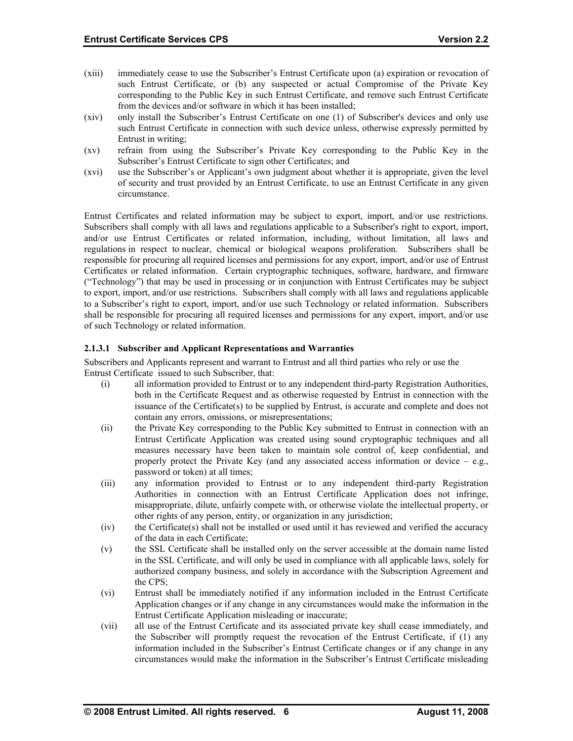- (xiii) such Entrust Certificate, or (b) any suspected or actual Compromise of the Private Key immediately cease to use the Subscriber's Entrust Certificate upon (a) expiration or revocation of corresponding to the Public Key in such Entrust Certificate, and remove such Entrust Certificate from the devices and/or software in which it has been installed;
- (xiv) only install the Subscriber's Entrust Certificate on one (1) of Subscriber's devices and only use such Entrust Certificate in connection with such device unless, otherwise expressly permitted by Entrust in writing;
- (xv) refrain from using the Subscriber's Private Key corresponding to the Public Key in the Subscriber's Entrust Certificate to sign other Certificates; and
- (xvi) use the Subscriber's or Applicant's own judgment about whether it is appropriate, given the level of security and trust provided by an Entrust Certificate, to use an Entrust Certificate in any given circumstance.

to a Subscriber's right to export, import, and/or use such Technology or related information. Subscribers shall be responsible for procuring all required licenses and permissions for any export, import, and/or use Entrust Certificates and related information may be subject to export, import, and/or use restrictions. Subscribers shall comply with all laws and regulations applicable to a Subscriber's right to export, import, and/or use Entrust Certificates or related information, including, without limitation, all laws and regulations in respect to nuclear, chemical or biological weapons proliferation. Subscribers shall be responsible for procuring all required licenses and permissions for any export, import, and/or use of Entrust Certificates or related information. Certain cryptographic techniques, software, hardware, and firmware ("Technology") that may be used in processing or in conjunction with Entrust Certificates may be subject to export, import, and/or use restrictions. Subscribers shall comply with all laws and regulations applicable of such Technology or related information.

#### **ns and Warranties 2.1.3.1 Subscriber and Applicant Representatio**

Subscribers and Applicants represent and warrant to Entrust and all third parties who rely or use the Entrust Certi ficate issued to such Subscriber, that:

- (i) both in the Certificate Request and as otherwise requested by Entrust in connection with the all information provided to Entrust or to any independent third-party Registration Authorities, issuance of the Certificate(s) to be supplied by Entrust, is accurate and complete and does not contain any errors, omissions, or misrepresentations;
- (ii) measures necessary have been taken to maintain sole control of, keep confidential, and the Private Key corresponding to the Public Key submitted to Entrust in connection with an Entrust Certificate Application was created using sound cryptographic techniques and all properly protect the Private Key (and any associated access information or device  $-$  e.g., password or token) at all times;
- (iii) Authorities in connection with an Entrust Certificate Application does not infringe, other rights of any person, entity, or organization in any jurisdiction; any information provided to Entrust or to any independent third-party Registration misappropriate, dilute, unfairly compete with, or otherwise violate the intellectual property, or
- (iv) the Certificate(s) shall not be installed or used until it has reviewed and verified the accuracy of the data in each Certificate;
- (v) in the SSL Certificate, and will only be used in compliance with all applicable laws, solely for the SSL Certificate shall be installed only on the server accessible at the domain name listed authorized company business, and solely in accordance with the Subscription Agreement and the CPS;
- (vi) Entrust shall be immediately notified if any information included in the Entrust Certificate Application changes or if any change in any circumstances would make the information in the Entrust Certificate Application misleading or inaccurate;
- (vii) circumstances would make the information in the Subscriber's Entrust Certificate misleading all use of the Entrust Certificate and its associated private key shall cease immediately, and the Subscriber will promptly request the revocation of the Entrust Certificate, if (1) any information included in the Subscriber's Entrust Certificate changes or if any change in any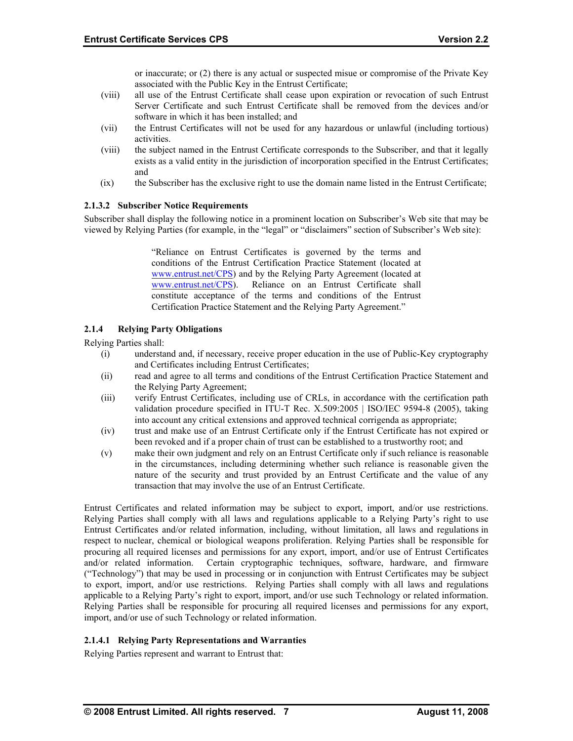or inaccurate; or (2) there is any actual or suspected misue or compromise of the Private Key associated with the Public Key in the Entrust Certificate;

- <span id="page-12-0"></span>(viii) all use of the Entrust Certificate shall cease upon expiration or revocation of such Entrust software in which it has been installed; and Server Certificate and such Entrust Certificate shall be removed from the devices and/or
- (vii) the Entrust Certificates will not be used for any hazardous or unlawful (including tortious) activities.
- (viii) the subject named in the Entrust Certificate corresponds to the Subscriber, and that it legally and exists as a valid entity in the jurisdiction of incorporation specified in the Entrust Certificates;
- $f(x)$  the Subscriber has the exclusive right to use the domain name listed in the Entrust Certificate;

# **2.1.3.2 Subscriber Notice Requirements**

Subscriber shall display the following notice in a prominent location on Subscriber's Web site that may be viewed by Relying Parties (for example, in the "legal" or "disclaimers" section of Subscriber's Web site):

> ["Reliance on Entru](http://www.entrust.net/CPS)st Certificates is governed by the terms and [conditions of the Ent](http://www.entrust.net/CPS)rust Certification Practice Statement (located at www.entrust.net/CPS) and by the Relying Party Agreement (located at www.entrust.net/CPS). Reliance on an Entrust Certificate shall constitute acceptance of the terms and conditions of the Entrust Certification Practice Statement and the Relying Party Agreement."

#### **2.1.4 4 ing Party Obligations**

Relying Parti es shall:

- and Certificates including Entrust Certificates; (i) understand and, if necessary, receive proper education in the use of Public-Key cryptography
- (ii) read and agree to all terms and conditions of the Entrust Certification Practice Statement and the Relying Party Agreement;
- (iii) verify Entrust Certificates, including use of CRLs, in accordance with the certification path validation procedure specified in ITU-T Rec. X.509:2005 | ISO/IEC 9594-8 (2005), taking into account any critical extensions and approved technical corrigenda as appropriate;
- (iv) trust and make use of an Entrust Certificate only if the Entrust Certificate has not expired or been revoked and if a proper chain of trust can be established to a trustworthy root; and
- (v) in the circumstances, including determining whether such reliance is reasonable given the nature of the security and trust provided by an Entrust Certificate and the value of any make their own judgment and rely on an Entrust Certificate only if such reliance is reasonable transaction that may involve the use of an Entrust Certificate.

applicable to a Relying Party's right to export, import, and/or use such Technology or related information. Relying Parties shall be responsible for procuring all required licenses and permissions for any export, import, and/or use of such Technology or related information. Entrust Certificates and related information may be subject to export, import, and/or use restrictions. Relying Parties shall comply with all laws and regulations applicable to a Relying Party's right to use Entrust Certificates and/or related information, including, without limitation, all laws and regulations in respect to nuclear, chemical or biological weapons proliferation. Relying Parties shall be responsible for procuring all required licenses and permissions for any export, import, and/or use of Entrust Certificates and/or related information. Certain cryptographic techniques, software, hardware, and firmware ("Technology") that may be used in processing or in conjunction with Entrust Certificates may be subject to export, import, and/or use restrictions. Relying Parties shall comply with all laws and regulations

# **2.1. Rel 4.1 ying Party Representations and Warranties**

Relying Part ies represent and warrant to Entrust that: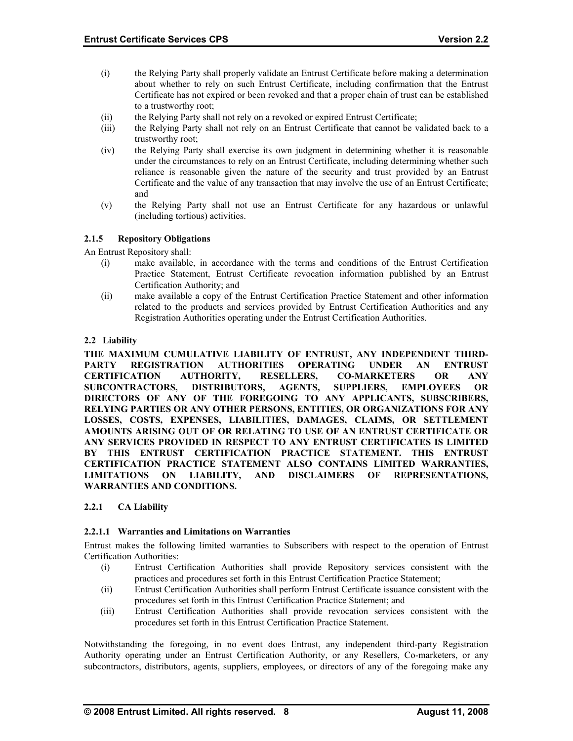- <span id="page-13-0"></span>(i) about whether to rely on such Entrust Certificate, including confirmation that the Entrust Certificate has not expired or been revoked and that a proper chain of trust can be established the Relying Party shall properly validate an Entrust Certificate before making a determination to a trustworthy root;
- (ii) the Relying Party shall not rely on a revoked or expired Entrust Certificate;
- (iii) the Relying Party shall not rely on an Entrust Certificate that cannot be validated back to a trustworthy root;
- (iv) reliance is reasonable given the nature of the security and trust provided by an Entrust the Relying Party shall exercise its own judgment in determining whether it is reasonable under the circumstances to rely on an Entrust Certificate, including determining whether such Certificate and the value of any transaction that may involve the use of an Entrust Certificate; and
- (v) the Relying Party shall not use an Entrust Certificate for any hazardous or unlawful (including tortious) activities.

#### $2.1.5$ **5 ository Obligations**

An Entrust R epository shall:

- (i) make available, in accordance with the terms and conditions of the Entrust Certification Practice Statement, Entrust Certificate revocation information published by an Entrust Certification Authority; and
- (ii) make available a copy of the Entrust Certification Practice Statement and other information related to the products and services provided by Entrust Certification Authorities and any Registration Authorities operating under the Entrust Certification Authorities.

# **2.2 Liability**

**CERTIFICATION PRACTICE STATEMENT ALSO CONTAINS LIMITED WARRANTIES, LIMITATIONS ON LIABILITY, AND DISCLAIMERS OF REPRESENTATIONS, WARRANTIES AND CONDITIONS. THE MAXIMUM CUMULATIVE LIABILITY OF ENTRUST, ANY INDEPENDENT THIRD-PARTY REGISTRATION AUTHORITIES OPERATING UNDER AN ENTRUST CERTIFICATION AUTHORITY, RESELLERS, CO-MARKETERS OR ANY SUBCONTRACTORS, DISTRIBUTORS, AGENTS, SUPPLIERS, EMPLOYEES OR DIRECTORS OF ANY OF THE FOREGOING TO ANY APPLICANTS, SUBSCRIBERS, RELYING PARTIES OR ANY OTHER PERSONS, ENTITIES, OR ORGANIZATIONS FOR ANY LOSSES, COSTS, EXPENSES, LIABILITIES, DAMAGES, CLAIMS, OR SETTLEMENT AMOUNTS ARISING OUT OF OR RELATING TO USE OF AN ENTRUST CERTIFICATE OR ANY SERVICES PROVIDED IN RESPECT TO ANY ENTRUST CERTIFICATES IS LIMITED BY THIS ENTRUST CERTIFICATION PRACTICE STATEMENT. THIS ENTRUST** 

#### **2.2.1 CA Liability**

#### **imitations on Warranties 2.2.1.1 Warranties and L**

Entrust makes the following limited warranties to Subscribers with respect to the operation of Entrust Certification Authorities:

- practices and procedures set forth in this Entrust Certification Practice Statement; (i) Entrust Certification Authorities shall provide Repository services consistent with the
- procedures set forth in this Entrust Certification Practice Statement; and (ii) Entrust Certification Authorities shall perform Entrust Certificate issuance consistent with the
- Entrust Certification Authorities shall provide revocation services consistent with the  $(iii)$ procedures set forth in this Entrust Certification Practice Statement.

Notwithstanding the foregoing, in no event does Entrust, any independent third-party Registration Authority operating under an Entrust Certification Authority, or any Resellers, Co-marketers, or any subcontractors, distributors, agents, suppliers, employees, or directors of any of the foregoing make any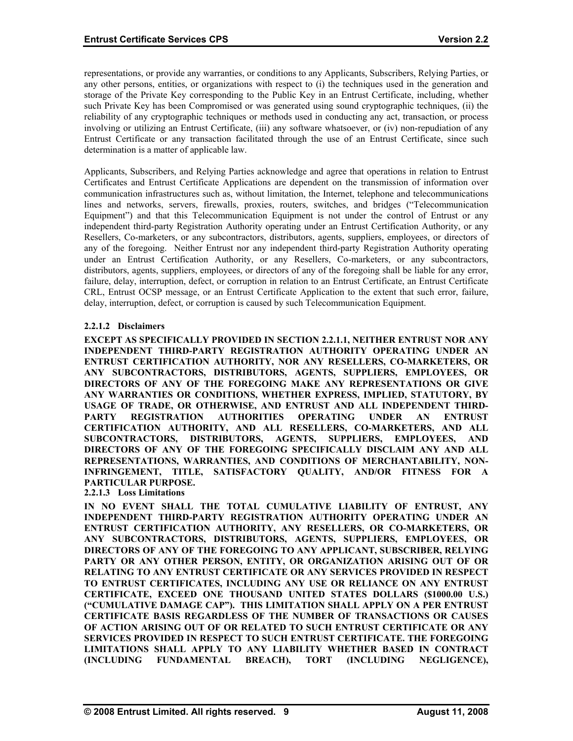representations, or provide any warranties, or conditions to any Applicants, Subscribers, Relying Parties, or any other persons, entities, or organizations with respect to (i) the techniques used in the generation and storage of the Private Key corresponding to the Public Key in an Entrust Certificate, including, whether such Private Key has been Compromised or was generated using sound cryptographic techniques, (ii) the reliability of any cryptographic techniques or methods used in conducting any act, transaction, or process involving or utilizing an Entrust Certificate, (iii) any software whatsoever, or (iv) non-repudiation of any Entrust Certificate or any transaction facilitated through the use of an Entrust Certificate, since such determination is a matter of applicable law.

failure, delay, interruption, defect, or corruption in relation to an Entrust Certificate, an Entrust Certificate CRL, Entrust OCSP message, or an Entrust Certificate Application to the extent that such error, failure, delay, interruption, defect, or corruption is caused by such Telecommunication Equipment. Applicants, Subscribers, and Relying Parties acknowledge and agree that operations in relation to Entrust Certificates and Entrust Certificate Applications are dependent on the transmission of information over communication infrastructures such as, without limitation, the Internet, telephone and telecommunications lines and networks, servers, firewalls, proxies, routers, switches, and bridges ("Telecommunication Equipment") and that this Telecommunication Equipment is not under the control of Entrust or any independent third-party Registration Authority operating under an Entrust Certification Authority, or any Resellers, Co-marketers, or any subcontractors, distributors, agents, suppliers, employees, or directors of any of the foregoing. Neither Entrust nor any independent third-party Registration Authority operating under an Entrust Certification Authority, or any Resellers, Co-marketers, or any subcontractors, distributors, agents, suppliers, employees, or directors of any of the foregoing shall be liable for any error,

# **2.2.1.2 Disclaimers**

**RRANTIES, AND CONDITIONS OF MERCHANTABILITY, NON-REPRESENTATIONS, WA INFRINGEMENT, TITLE, SATISFACTORY QUALITY, AND/OR FITNESS FOR A EXCEPT AS SPECIFICALLY PROVIDED IN SECTION 2.2.1.1, NEITHER ENTRUST NOR ANY INDEPENDENT THIRD-PARTY REGISTRATION AUTHORITY OPERATING UNDER AN ENTRUST CERTIFICATION AUTHORITY, NOR ANY RESELLERS, CO-MARKETERS, OR ANY SUBCONTRACTORS, DISTRIBUTORS, AGENTS, SUPPLIERS, EMPLOYEES, OR DIRECTORS OF ANY OF THE FOREGOING MAKE ANY REPRESENTATIONS OR GIVE ANY WARRANTIES OR CONDITIONS, WHETHER EXPRESS, IMPLIED, STATUTORY, BY USAGE OF TRADE, OR OTHERWISE, AND ENTRUST AND ALL INDEPENDENT THIRD-PARTY REGISTRATION AUTHORITIES OPERATING UNDER AN ENTRUST CERTIFICATION AUTHORITY, AND ALL RESELLERS, CO-MARKETERS, AND ALL SUBCONTRACTORS, DISTRIBUTORS, AGENTS, SUPPLIERS, EMPLOYEES, AND DIRECTORS OF ANY OF THE FOREGOING SPECIFICALLY DISCLAIM ANY AND ALL PARTICULAR PURPOSE.**

**2.2.1.3 Loss Limitations** 

**IN NO EVENT SHALL THE TOTAL CUMULATIVE LIABILITY OF ENTRUST, ANY INDEPENDENT THIRD-PARTY REGISTRATION AUTHORITY OPERATING UNDER AN ENTRUST CERTIFICATION AUTHORITY, ANY RESELLERS, OR CO-MARKETERS, OR ANY SUBCONTRACTORS, DISTRIBUTORS, AGENTS, SUPPLIERS, EMPLOYEES, OR DIRECTORS OF ANY OF THE FOREGOING TO ANY APPLICANT, SUBSCRIBER, RELYING PARTY OR ANY OTHER PERSON, ENTITY, OR ORGANIZATION ARISING OUT OF OR RELATING TO ANY ENTRUST CERTIFICATE OR ANY SERVICES PROVIDED IN RESPECT TO ENTRUST CERTIFICATES, INCLUDING ANY USE OR RELIANCE ON ANY ENTRUST CERTIFICATE, EXCEED ONE THOUSAND UNITED STATES DOLLARS (\$1000.00 U.S.) ("CUMULATIVE DAMAGE CAP"). THIS LIMITATION SHALL APPLY ON A PER ENTRUST CERTIFICATE BASIS REGARDLESS OF THE NUMBER OF TRANSACTIONS OR CAUSES OF ACTION ARISING OUT OF OR RELATED TO SUCH ENTRUST CERTIFICATE OR ANY SERVICES PROVIDED IN RESPECT TO SUCH ENTRUST CERTIFICATE. THE FOREGOING LIMITATIONS SHALL APPLY TO ANY LIABILITY WHETHER BASED IN CONTRACT (INCLUDING FUNDAMENTAL BREACH), TORT (INCLUDING NEGLIGENCE),**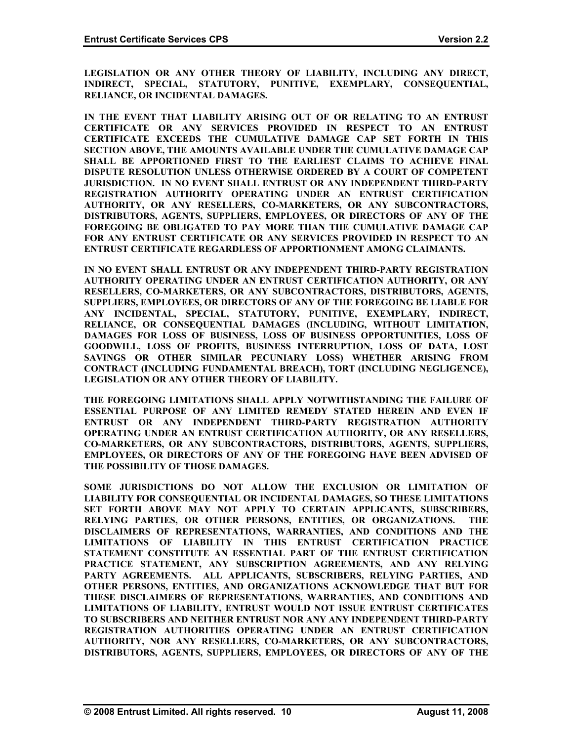**LEGISLATION OR ANY OTHER THEORY OF LIABILITY, INCLUDING ANY DIRECT, INDIRECT, SPECIAL, STATUTORY, PUNITIVE, EXEMPLARY, CONSEQUENTIAL, ELIANCE, OR INCIDENTAL DAMAGES. R**

**FOR ANY ENTRUST CERTIFICATE OR ANY SERVICES PROVIDED IN RESPECT TO AN NTRUST CERTIFICATE REGARDLESS OF APPORTIONMENT AMONG CLAIMANTS. E IN THE EVENT THAT LIABILITY ARISING OUT OF OR RELATING TO AN ENTRUST CERTIFICATE OR ANY SERVICES PROVIDED IN RESPECT TO AN ENTRUST CERTIFICATE EXCEEDS THE CUMULATIVE DAMAGE CAP SET FORTH IN THIS SECTION ABOVE, THE AMOUNTS AVAILABLE UNDER THE CUMULATIVE DAMAGE CAP SHALL BE APPORTIONED FIRST TO THE EARLIEST CLAIMS TO ACHIEVE FINAL DISPUTE RESOLUTION UNLESS OTHERWISE ORDERED BY A COURT OF COMPETENT JURISDICTION. IN NO EVENT SHALL ENTRUST OR ANY INDEPENDENT THIRD-PARTY REGISTRATION AUTHORITY OPERATING UNDER AN ENTRUST CERTIFICATION AUTHORITY, OR ANY RESELLERS, CO-MARKETERS, OR ANY SUBCONTRACTORS, DISTRIBUTORS, AGENTS, SUPPLIERS, EMPLOYEES, OR DIRECTORS OF ANY OF THE FOREGOING BE OBLIGATED TO PAY MORE THAN THE CUMULATIVE DAMAGE CAP** 

**T (INCLUDING NEGLIGENCE), CONTRACT (INCLUDING FUNDAMENTAL BREACH), TOR EGISLATION OR ANY OTHER THEORY OF LIABILITY. L IN NO EVENT SHALL ENTRUST OR ANY INDEPENDENT THIRD-PARTY REGISTRATION AUTHORITY OPERATING UNDER AN ENTRUST CERTIFICATION AUTHORITY, OR ANY RESELLERS, CO-MARKETERS, OR ANY SUBCONTRACTORS, DISTRIBUTORS, AGENTS, SUPPLIERS, EMPLOYEES, OR DIRECTORS OF ANY OF THE FOREGOING BE LIABLE FOR ANY INCIDENTAL, SPECIAL, STATUTORY, PUNITIVE, EXEMPLARY, INDIRECT, RELIANCE, OR CONSEQUENTIAL DAMAGES (INCLUDING, WITHOUT LIMITATION, DAMAGES FOR LOSS OF BUSINESS, LOSS OF BUSINESS OPPORTUNITIES, LOSS OF GOODWILL, LOSS OF PROFITS, BUSINESS INTERRUPTION, LOSS OF DATA, LOST SAVINGS OR OTHER SIMILAR PECUNIARY LOSS) WHETHER ARISING FROM**

**F THE FOREGOING HAVE BEEN ADVISED OF EMPLOYEES, OR DIRECTORS OF ANY O HE POSSIBILITY OF THOSE DAMAGES. T THE FOREGOING LIMITATIONS SHALL APPLY NOTWITHSTANDING THE FAILURE OF ESSENTIAL PURPOSE OF ANY LIMITED REMEDY STATED HEREIN AND EVEN IF ENTRUST OR ANY INDEPENDENT THIRD-PARTY REGISTRATION AUTHORITY OPERATING UNDER AN ENTRUST CERTIFICATION AUTHORITY, OR ANY RESELLERS, CO-MARKETERS, OR ANY SUBCONTRACTORS, DISTRIBUTORS, AGENTS, SUPPLIERS,** 

**SOME JURISDICTIONS DO NOT ALLOW THE EXCLUSION OR LIMITATION OF LIABILITY FOR CONSEQUENTIAL OR INCIDENTAL DAMAGES, SO THESE LIMITATIONS SET FORTH ABOVE MAY NOT APPLY TO CERTAIN APPLICANTS, SUBSCRIBERS, RELYING PARTIES, OR OTHER PERSONS, ENTITIES, OR ORGANIZATIONS. THE DISCLAIMERS OF REPRESENTATIONS, WARRANTIES, AND CONDITIONS AND THE LIMITATIONS OF LIABILITY IN THIS ENTRUST CERTIFICATION PRACTICE STATEMENT CONSTITUTE AN ESSENTIAL PART OF THE ENTRUST CERTIFICATION PRACTICE STATEMENT, ANY SUBSCRIPTION AGREEMENTS, AND ANY RELYING PARTY AGREEMENTS. ALL APPLICANTS, SUBSCRIBERS, RELYING PARTIES, AND OTHER PERSONS, ENTITIES, AND ORGANIZATIONS ACKNOWLEDGE THAT BUT FOR THESE DISCLAIMERS OF REPRESENTATIONS, WARRANTIES, AND CONDITIONS AND LIMITATIONS OF LIABILITY, ENTRUST WOULD NOT ISSUE ENTRUST CERTIFICATES TO SUBSCRIBERS AND NEITHER ENTRUST NOR ANY ANY INDEPENDENT THIRD-PARTY REGISTRATION AUTHORITIES OPERATING UNDER AN ENTRUST CERTIFICATION AUTHORITY, NOR ANY RESELLERS, CO-MARKETERS, OR ANY SUBCONTRACTORS, DISTRIBUTORS, AGENTS, SUPPLIERS, EMPLOYEES, OR DIRECTORS OF ANY OF THE**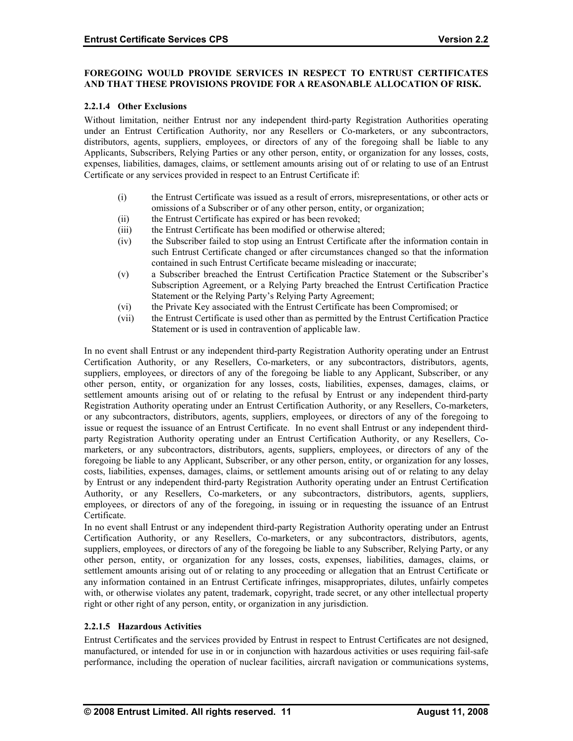#### **FOREGOING WOULD PROVIDE SERVICES IN RESPECT TO ENTRUST CERTIFICATES AND THAT THESE PROVISIONS PROVIDE FOR A REASONABLE ALLOCATION OF RISK.**

#### **2.2.1.4 Other Exclusions**

distributors, agents, suppliers, employees, or directors of any of the foregoing shall be liable to any Applicants, Subscribers, Relying Parties or any other person, entity, or organization for any losses, costs, expenses, liabilities, damages, claims, or settlement amounts arising out of or relating to use of an Entrust Certificate or any services provided in respect to an Entrust Certificate if: Without limitation, neither Entrust nor any independent third-party Registration Authorities operating under an Entrust Certification Authority, nor any Resellers or Co-marketers, or any subcontractors,

- (i) the Entrust Certificate was issued as a result of errors, misrepresentations, or other acts or omissions of a Subscriber or of any other person, entity, or organization;
- (ii) the Entrust Certificate has expired or has been revoked;
- (iii) the Entrust Certificate has been modified or otherwise altered;
- contained in such Entrust Certificate became misleading or inaccurate; (iv) the Subscriber failed to stop using an Entrust Certificate after the information contain in such Entrust Certificate changed or after circumstances changed so that the information
- (v) a Subscriber breached the Entrust Certification Practice Statement or the Subscriber's Statement or the Relying Party's Relying Party Agreement; Subscription Agreement, or a Relying Party breached the Entrust Certification Practice
- (vi) the Private Key associated with the Entrust Certificate has been Compromised; or
- (vii) the Entrust Certificate is used other than as permitted by the Entrust Certification Practice Statement or is used in contravention of applicable law.

by Entrust or any independent third-party Registration Authority operating under an Entrust Certification Authority, or any Resellers, Co-marketers, or any subcontractors, distributors, agents, suppliers, In no event shall Entrust or any independent third-party Registration Authority operating under an Entrust Certification Authority, or any Resellers, Co-marketers, or any subcontractors, distributors, agents, suppliers, employees, or directors of any of the foregoing be liable to any Applicant, Subscriber, or any other person, entity, or organization for any losses, costs, liabilities, expenses, damages, claims, or settlement amounts arising out of or relating to the refusal by Entrust or any independent third-party Registration Authority operating under an Entrust Certification Authority, or any Resellers, Co-marketers, or any subcontractors, distributors, agents, suppliers, employees, or directors of any of the foregoing to issue or request the issuance of an Entrust Certificate. In no event shall Entrust or any independent thirdparty Registration Authority operating under an Entrust Certification Authority, or any Resellers, Comarketers, or any subcontractors, distributors, agents, suppliers, employees, or directors of any of the foregoing be liable to any Applicant, Subscriber, or any other person, entity, or organization for any losses, costs, liabilities, expenses, damages, claims, or settlement amounts arising out of or relating to any delay employees, or directors of any of the foregoing, in issuing or in requesting the issuance of an Entrust Certificate.

any information contained in an Entrust Certificate infringes, misappropriates, dilutes, unfairly competes with, or otherwise violates any patent, trademark, copyright, trade secret, or any other intellectual property right or other right of any person, entity, or organization in any jurisdiction. In no event shall Entrust or any independent third-party Registration Authority operating under an Entrust Certification Authority, or any Resellers, Co-marketers, or any subcontractors, distributors, agents, suppliers, employees, or directors of any of the foregoing be liable to any Subscriber, Relying Party, or any other person, entity, or organization for any losses, costs, expenses, liabilities, damages, claims, or settlement amounts arising out of or relating to any proceeding or allegation that an Entrust Certificate or

#### **2.2.1.5 Hazardous Activities**

Entrust Certificates and the services provided by Entrust in respect to Entrust Certificates are not designed, manufactured, or intended for use in or in conjunction with hazardous activities or uses requiring fail-safe performance, including the operation of nuclear facilities, aircraft navigation or communications systems,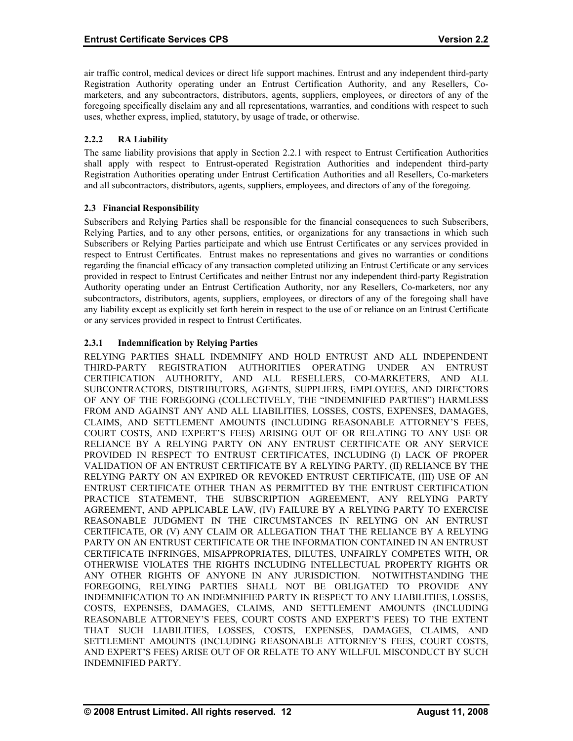<span id="page-17-0"></span>air traffic control, medical devices or direct life support machines. Entrust and any independent third-party Registration Authority operating under an Entrust Certification Authority, and any Resellers, Comarketers, and any subcontractors, distributors, agents, suppliers, employees, or directors of any of the foregoing specifically disclaim any and all representations, warranties, and conditions with respect to such uses, whether express, implied, statutory, by usage of trade, or otherwise.

# **2.2.2 RA Liability**

shall apply with respect to Entrust-operated Registration Authorities and independent third-party Registration Authorities operating under Entrust Certification Authorities and all Resellers, Co-marketers and all subcontractors, distributors, agents, suppliers, employees, and directors of any of the foregoing. The same liability provisions that apply in Section 2.2.1 with respect to Entrust Certification Authorities

# **2.3 Financial Responsibility**

subcontractors, distributors, agents, suppliers, employees, or directors of any of the foregoing shall have any liability except as explicitly set forth herein in respect to the use of or reliance on an Entrust Certificate or any services provided in respect to Entrust Certificates. Subscribers and Relying Parties shall be responsible for the financial consequences to such Subscribers, Relying Parties, and to any other persons, entities, or organizations for any transactions in which such Subscribers or Relying Parties participate and which use Entrust Certificates or any services provided in respect to Entrust Certificates. Entrust makes no representations and gives no warranties or conditions regarding the financial efficacy of any transaction completed utilizing an Entrust Certificate or any services provided in respect to Entrust Certificates and neither Entrust nor any independent third-party Registration Authority operating under an Entrust Certification Authority, nor any Resellers, Co-marketers, nor any

# **2.3.1 Indemnification by Relying Parties**

SETTLEMENT AMOUNTS (INCLUDING REASONABLE ATTORNEY'S FEES, COURT COSTS, AND EXPERT'S FEES) ARISE OUT OF OR RELATE TO ANY WILLFUL MISCONDUCT BY SUCH INDEMNIFIED PARTY. RELYING PARTIES SHALL INDEMNIFY AND HOLD ENTRUST AND ALL INDEPENDENT THIRD-PARTY REGISTRATION AUTHORITIES OPERATING UNDER AN ENTRUST CERTIFICATION AUTHORITY, AND ALL RESELLERS, CO-MARKETERS, AND ALL SUBCONTRACTORS, DISTRIBUTORS, AGENTS, SUPPLIERS, EMPLOYEES, AND DIRECTORS OF ANY OF THE FOREGOING (COLLECTIVELY, THE "INDEMNIFIED PARTIES") HARMLESS FROM AND AGAINST ANY AND ALL LIABILITIES, LOSSES, COSTS, EXPENSES, DAMAGES, CLAIMS, AND SETTLEMENT AMOUNTS (INCLUDING REASONABLE ATTORNEY'S FEES, COURT COSTS, AND EXPERT'S FEES) ARISING OUT OF OR RELATING TO ANY USE OR RELIANCE BY A RELYING PARTY ON ANY ENTRUST CERTIFICATE OR ANY SERVICE PROVIDED IN RESPECT TO ENTRUST CERTIFICATES, INCLUDING (I) LACK OF PROPER VALIDATION OF AN ENTRUST CERTIFICATE BY A RELYING PARTY, (II) RELIANCE BY THE RELYING PARTY ON AN EXPIRED OR REVOKED ENTRUST CERTIFICATE, (III) USE OF AN ENTRUST CERTIFICATE OTHER THAN AS PERMITTED BY THE ENTRUST CERTIFICATION PRACTICE STATEMENT, THE SUBSCRIPTION AGREEMENT, ANY RELYING PARTY AGREEMENT, AND APPLICABLE LAW, (IV) FAILURE BY A RELYING PARTY TO EXERCISE REASONABLE JUDGMENT IN THE CIRCUMSTANCES IN RELYING ON AN ENTRUST CERTIFICATE, OR (V) ANY CLAIM OR ALLEGATION THAT THE RELIANCE BY A RELYING PARTY ON AN ENTRUST CERTIFICATE OR THE INFORMATION CONTAINED IN AN ENTRUST CERTIFICATE INFRINGES, MISAPPROPRIATES, DILUTES, UNFAIRLY COMPETES WITH, OR OTHERWISE VIOLATES THE RIGHTS INCLUDING INTELLECTUAL PROPERTY RIGHTS OR ANY OTHER RIGHTS OF ANYONE IN ANY JURISDICTION. NOTWITHSTANDING THE FOREGOING, RELYING PARTIES SHALL NOT BE OBLIGATED TO PROVIDE ANY INDEMNIFICATION TO AN INDEMNIFIED PARTY IN RESPECT TO ANY LIABILITIES, LOSSES, COSTS, EXPENSES, DAMAGES, CLAIMS, AND SETTLEMENT AMOUNTS (INCLUDING REASONABLE ATTORNEY'S FEES, COURT COSTS AND EXPERT'S FEES) TO THE EXTENT THAT SUCH LIABILITIES, LOSSES, COSTS, EXPENSES, DAMAGES, CLAIMS, AND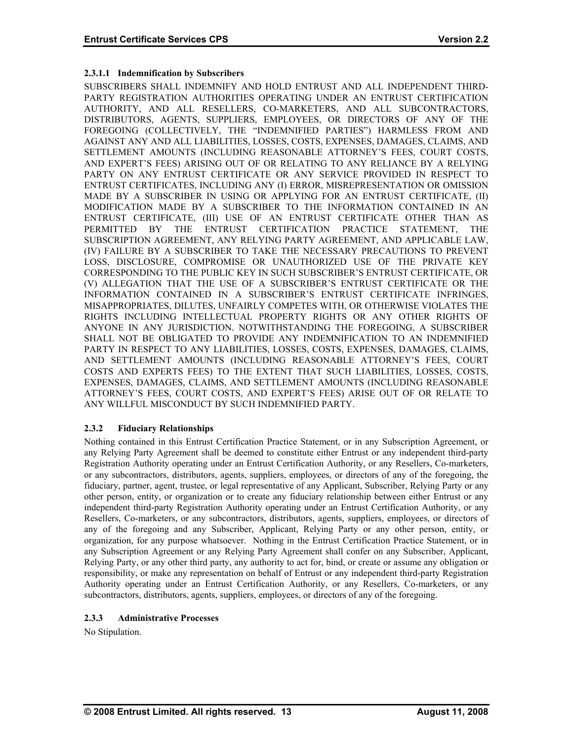# <span id="page-18-0"></span>**2.3.1.1 Indemnification by Subscribers**

SUBSCRIBERS SHALL INDEMNIFY AND HOLD ENTRUST AND ALL INDEPENDENT THIRD-PARTY REGISTRATION AUTHORITIES OPERATING UNDER AN ENTRUST CERTIFICATION AUTHORITY, AND ALL RESELLERS, CO-MARKETERS, AND ALL SUBCONTRACTORS, DISTRIBUTORS, AGENTS, SUPPLIERS, EMPLOYEES, OR DIRECTORS OF ANY OF THE FOREGOING (COLLECTIVELY, THE "INDEMNIFIED PARTIES") HARMLESS FROM AND AGAINST ANY AND ALL LIABILITIES, LOSSES, COSTS, EXPENSES, DAMAGES, CLAIMS, AND SETTLEMENT AMOUNTS (INCLUDING REASONABLE ATTORNEY'S FEES, COURT COSTS, AND EXPERT'S FEES) ARISING OUT OF OR RELATING TO ANY RELIANCE BY A RELYING PARTY ON ANY ENTRUST CERTIFICATE OR ANY SERVICE PROVIDED IN RESPECT TO ENTRUST CERTIFICATES, INCLUDING ANY (I) ERROR, MISREPRESENTATION OR OMISSION MADE BY A SUBSCRIBER IN USING OR APPLYING FOR AN ENTRUST CERTIFICATE, (II) MODIFICATION MADE BY A SUBSCRIBER TO THE INFORMATION CONTAINED IN AN ENTRUST CERTIFICATE, (III) USE OF AN ENTRUST CERTIFICATE OTHER THAN AS PERMITTED BY THE ENTRUST CERTIFICATION PRACTICE STATEMENT, THE SUBSCRIPTION AGREEMENT, ANY RELYING PARTY AGREEMENT, AND APPLICABLE LAW, (IV) FAILURE BY A SUBSCRIBER TO TAKE THE NECESSARY PRECAUTIONS TO PREVENT LOSS, DISCLOSURE, COMPROMISE OR UNAUTHORIZED USE OF THE PRIVATE KEY CORRESPONDING TO THE PUBLIC KEY IN SUCH SUBSCRIBER'S ENTRUST CERTIFICATE, OR (V) ALLEGATION THAT THE USE OF A SUBSCRIBER'S ENTRUST CERTIFICATE OR THE INFORMATION CONTAINED IN A SUBSCRIBER'S ENTRUST CERTIFICATE INFRINGES, MISAPPROPRIATES, DILUTES, UNFAIRLY COMPETES WITH, OR OTHERWISE VIOLATES THE RIGHTS INCLUDING INTELLECTUAL PROPERTY RIGHTS OR ANY OTHER RIGHTS OF ANYONE IN ANY JURISDICTION. NOTWITHSTANDING THE FOREGOING, A SUBSCRIBER SHALL NOT BE OBLIGATED TO PROVIDE ANY INDEMNIFICATION TO AN INDEMNIFIED PARTY IN RESPECT TO ANY LIABILITIES, LOSSES, COSTS, EXPENSES, DAMAGES, CLAIMS, AND SETTLEMENT AMOUNTS (INCLUDING REASONABLE ATTORNEY'S FEES, COURT COSTS AND EXPERTS FEES) TO THE EXTENT THAT SUCH LIABILITIES, LOSSES, COSTS, EXPENSES, DAMAGES, CLAIMS, AND SETTLEMENT AMOUNTS (INCLUDING REASONABLE ATTORNEY'S FEES, COURT COSTS, AND EXPERT'S FEES) ARISE OUT OF OR RELATE TO ANY WILLFUL MISCONDUCT BY SUCH INDEMNIFIED PARTY.

# **2.3.2 Fiduciary Relationships**

Nothing contained in this Entrust Certification Practice Statement, or in any Subscription Agreement, or any Relying Party Agreement shall be deemed to constitute either Entrust or any independent third-party Registration Authority operating under an Entrust Certification Authority, or any Resellers, Co-marketers, or any subcontractors, distributors, agents, suppliers, employees, or directors of any of the foregoing, the fiduciary, partner, agent, trustee, or legal representative of any Applicant, Subscriber, Relying Party or any other person, entity, or organization or to create any fiduciary relationship between either Entrust or any independent third-party Registration Authority operating under an Entrust Certification Authority, or any Resellers, Co-marketers, or any subcontractors, distributors, agents, suppliers, employees, or directors of any of the foregoing and any Subscriber, Applicant, Relying Party or any other person, entity, or organization, for any purpose whatsoever. Nothing in the Entrust Certification Practice Statement, or in any Subscription Agreement or any Relying Party Agreement shall confer on any Subscriber, Applicant, Relying Party, or any other third party, any authority to act for, bind, or create or assume any obligation or responsibility, or make any representation on behalf of Entrust or any independent third-party Registration Authority operating under an Entrust Certification Authority, or any Resellers, Co-marketers, or any subcontractors, distributors, agents, suppliers, employees, or directors of any of the foregoing.

# **2.3.3 Administrative Processes**

No Stipulation.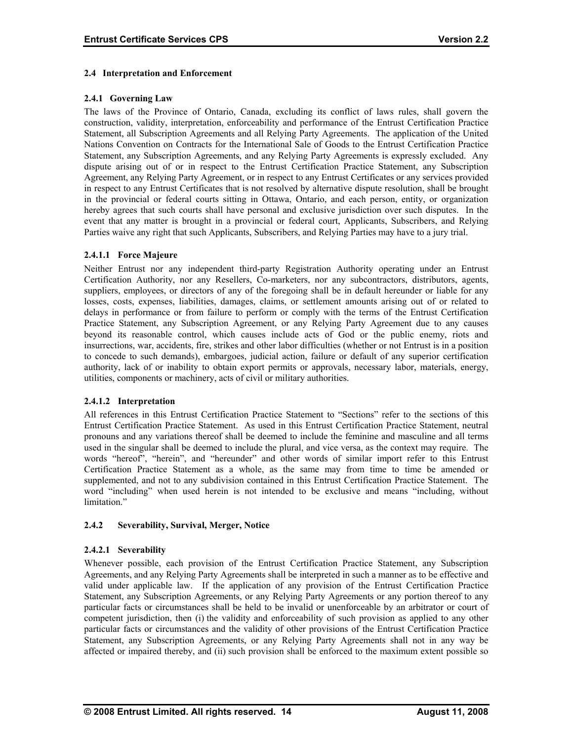# <span id="page-19-0"></span>**2.4 Interpretation and Enforcement**

# **2.4.1 Governing Law**

The laws of the Province of Ontario, Canada, excluding its conflict of laws rules, shall govern the construction, validity, interpretation, enforceability and performance of the Entrust Certification Practice Statement, all Subscription Agreements and all Relying Party Agreements. The application of the United Nations Convention on Contracts for the International Sale of Goods to the Entrust Certification Practice Statement, any Subscription Agreements, and any Relying Party Agreements is expressly excluded. Any dispute arising out of or in respect to the Entrust Certification Practice Statement, any Subscription Agreement, any Relying Party Agreement, or in respect to any Entrust Certificates or any services provided in respect to any Entrust Certificates that is not resolved by alternative dispute resolution, shall be brought in the provincial or federal courts sitting in Ottawa, Ontario, and each person, entity, or organization hereby agrees that such courts shall have personal and exclusive jurisdiction over such disputes. In the event that any matter is brought in a provincial or federal court, Applicants, Subscribers, and Relying Parties waive any right that such Applicants, Subscribers, and Relying Parties may have to a jury trial.

# **2.4.1.1 Force Majeure**

Neither Entrust nor any independent third-party Registration Authority operating under an Entrust Certification Authority, nor any Resellers, Co-marketers, nor any subcontractors, distributors, agents, suppliers, employees, or directors of any of the foregoing shall be in default hereunder or liable for any losses, costs, expenses, liabilities, damages, claims, or settlement amounts arising out of or related to delays in performance or from failure to perform or comply with the terms of the Entrust Certification Practice Statement, any Subscription Agreement, or any Relying Party Agreement due to any causes beyond its reasonable control, which causes include acts of God or the public enemy, riots and insurrections, war, accidents, fire, strikes and other labor difficulties (whether or not Entrust is in a position to concede to such demands), embargoes, judicial action, failure or default of any superior certification authority, lack of or inability to obtain export permits or approvals, necessary labor, materials, energy, utilities, components or machinery, acts of civil or military authorities.

#### **2.4.1.2 Interpretation**

All references in this Entrust Certification Practice Statement to "Sections" refer to the sections of this Entrust Certification Practice Statement. As used in this Entrust Certification Practice Statement, neutral pronouns and any variations thereof shall be deemed to include the feminine and masculine and all terms used in the singular shall be deemed to include the plural, and vice versa, as the context may require. The words "hereof", "herein", and "hereunder" and other words of similar import refer to this Entrust Certification Practice Statement as a whole, as the same may from time to time be amended or supplemented, and not to any subdivision contained in this Entrust Certification Practice Statement. The word "including" when used herein is not intended to be exclusive and means "including, without limitation<sup>"</sup>

#### **2.4.2 Severability, Survival, Merger, Notice**

#### **2.4.2.1 Severability**

Whenever possible, each provision of the Entrust Certification Practice Statement, any Subscription Agreements, and any Relying Party Agreements shall be interpreted in such a manner as to be effective and valid under applicable law. If the application of any provision of the Entrust Certification Practice Statement, any Subscription Agreements, or any Relying Party Agreements or any portion thereof to any particular facts or circumstances shall be held to be invalid or unenforceable by an arbitrator or court of competent jurisdiction, then (i) the validity and enforceability of such provision as applied to any other particular facts or circumstances and the validity of other provisions of the Entrust Certification Practice Statement, any Subscription Agreements, or any Relying Party Agreements shall not in any way be affected or impaired thereby, and (ii) such provision shall be enforced to the maximum extent possible so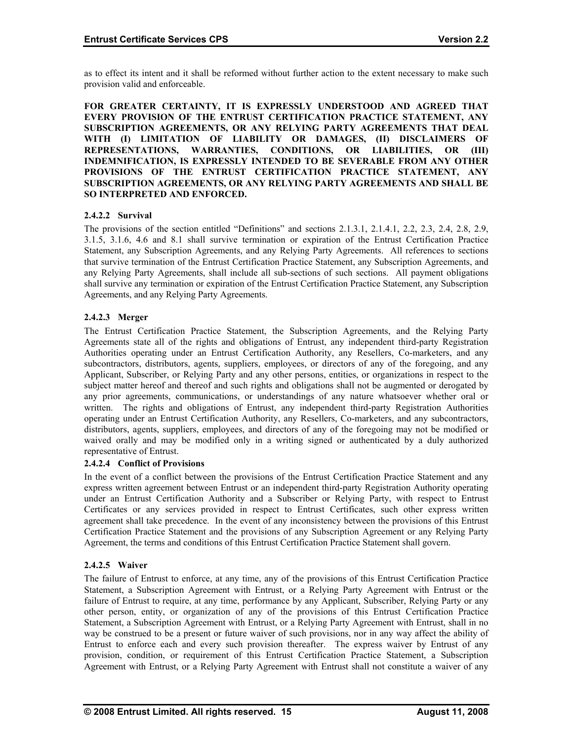as to effect its intent and it shall be reformed without further action to the extent necessary to make such provision valid and enforceable.

**FOR GREATER CERTAINTY, IT IS EXPRESSLY UNDERSTOOD AND AGREED THAT EVERY PROVISION OF THE ENTRUST CERTIFICATION PRACTICE STATEMENT, ANY SUBSCRIPTION AGREEMENTS, OR ANY RELYING PARTY AGREEMENTS THAT DEAL WITH (I) LIMITATION OF LIABILITY OR DAMAGES, (II) DISCLAIMERS OF REPRESENTATIONS, WARRANTIES, CONDITIONS, OR LIABILITIES, OR (III) INDEMNIFICATION, IS EXPRESSLY INTENDED TO BE SEVERABLE FROM ANY OTHER PROVISIONS OF THE ENTRUST CERTIFICATION PRACTICE STATEMENT, ANY SUBSCRIPTION AGREEMENTS, OR ANY RELYING PARTY AGREEMENTS AND SHALL BE SO INTERPRETED AND ENFORCED.** 

# **2.4.2.2 Survival**

The provisions of the section entitled "Definitions" and sections 2.1.3.1, 2.1.4.1, 2.2, 2.3, 2.4, 2.8, 2.9, 3.1.5, 3.1.6, 4.6 and 8.1 shall survive termination or expiration of the Entrust Certification Practice Statement, any Subscription Agreements, and any Relying Party Agreements. All references to sections that survive termination of the Entrust Certification Practice Statement, any Subscription Agreements, and any Relying Party Agreements, shall include all sub-sections of such sections. All payment obligations shall survive any termination or expiration of the Entrust Certification Practice Statement, any Subscription Agreements, and any Relying Party Agreements.

# **2.4.2.3 Merger**

The Entrust Certification Practice Statement, the Subscription Agreements, and the Relying Party Agreements state all of the rights and obligations of Entrust, any independent third-party Registration Authorities operating under an Entrust Certification Authority, any Resellers, Co-marketers, and any subcontractors, distributors, agents, suppliers, employees, or directors of any of the foregoing, and any Applicant, Subscriber, or Relying Party and any other persons, entities, or organizations in respect to the subject matter hereof and thereof and such rights and obligations shall not be augmented or derogated by any prior agreements, communications, or understandings of any nature whatsoever whether oral or written. The rights and obligations of Entrust, any independent third-party Registration Authorities operating under an Entrust Certification Authority, any Resellers, Co-marketers, and any subcontractors, distributors, agents, suppliers, employees, and directors of any of the foregoing may not be modified or waived orally and may be modified only in a writing signed or authenticated by a duly authorized representative of Entrust.

# **2.4.2.4 Conflict of Provisions**

In the event of a conflict between the provisions of the Entrust Certification Practice Statement and any express written agreement between Entrust or an independent third-party Registration Authority operating under an Entrust Certification Authority and a Subscriber or Relying Party, with respect to Entrust Certificates or any services provided in respect to Entrust Certificates, such other express written agreement shall take precedence. In the event of any inconsistency between the provisions of this Entrust Certification Practice Statement and the provisions of any Subscription Agreement or any Relying Party Agreement, the terms and conditions of this Entrust Certification Practice Statement shall govern.

# **2.4.2.5 Waiver**

The failure of Entrust to enforce, at any time, any of the provisions of this Entrust Certification Practice Statement, a Subscription Agreement with Entrust, or a Relying Party Agreement with Entrust or the failure of Entrust to require, at any time, performance by any Applicant, Subscriber, Relying Party or any other person, entity, or organization of any of the provisions of this Entrust Certification Practice Statement, a Subscription Agreement with Entrust, or a Relying Party Agreement with Entrust, shall in no way be construed to be a present or future waiver of such provisions, nor in any way affect the ability of Entrust to enforce each and every such provision thereafter. The express waiver by Entrust of any provision, condition, or requirement of this Entrust Certification Practice Statement, a Subscription Agreement with Entrust, or a Relying Party Agreement with Entrust shall not constitute a waiver of any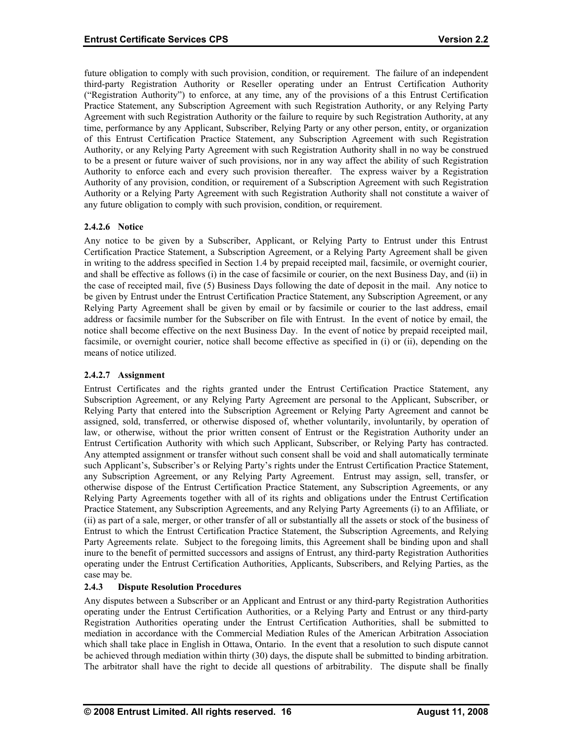<span id="page-21-0"></span>future obligation to comply with such provision, condition, or requirement. The failure of an independent third-party Registration Authority or Reseller operating under an Entrust Certification Authority ("Registration Authority") to enforce, at any time, any of the provisions of a this Entrust Certification Practice Statement, any Subscription Agreement with such Registration Authority, or any Relying Party Agreement with such Registration Authority or the failure to require by such Registration Authority, at any time, performance by any Applicant, Subscriber, Relying Party or any other person, entity, or organization of this Entrust Certification Practice Statement, any Subscription Agreement with such Registration Authority, or any Relying Party Agreement with such Registration Authority shall in no way be construed to be a present or future waiver of such provisions, nor in any way affect the ability of such Registration Authority to enforce each and every such provision thereafter. The express waiver by a Registration Authority of any provision, condition, or requirement of a Subscription Agreement with such Registration Authority or a Relying Party Agreement with such Registration Authority shall not constitute a waiver of any future obligation to comply with such provision, condition, or requirement.

# **2.4.2.6 Notice**

Any notice to be given by a Subscriber, Applicant, or Relying Party to Entrust under this Entrust Certification Practice Statement, a Subscription Agreement, or a Relying Party Agreement shall be given in writing to the address specified in Section 1.4 by prepaid receipted mail, facsimile, or overnight courier, and shall be effective as follows (i) in the case of facsimile or courier, on the next Business Day, and (ii) in the case of receipted mail, five (5) Business Days following the date of deposit in the mail. Any notice to be given by Entrust under the Entrust Certification Practice Statement, any Subscription Agreement, or any Relying Party Agreement shall be given by email or by facsimile or courier to the last address, email address or facsimile number for the Subscriber on file with Entrust. In the event of notice by email, the notice shall become effective on the next Business Day. In the event of notice by prepaid receipted mail, facsimile, or overnight courier, notice shall become effective as specified in (i) or (ii), depending on the means of notice utilized.

# **2.4.2.7 Assignment**

Entrust Certificates and the rights granted under the Entrust Certification Practice Statement, any Subscription Agreement, or any Relying Party Agreement are personal to the Applicant, Subscriber, or Relying Party that entered into the Subscription Agreement or Relying Party Agreement and cannot be assigned, sold, transferred, or otherwise disposed of, whether voluntarily, involuntarily, by operation of law, or otherwise, without the prior written consent of Entrust or the Registration Authority under an Entrust Certification Authority with which such Applicant, Subscriber, or Relying Party has contracted. Any attempted assignment or transfer without such consent shall be void and shall automatically terminate such Applicant's, Subscriber's or Relying Party's rights under the Entrust Certification Practice Statement, any Subscription Agreement, or any Relying Party Agreement. Entrust may assign, sell, transfer, or otherwise dispose of the Entrust Certification Practice Statement, any Subscription Agreements, or any Relying Party Agreements together with all of its rights and obligations under the Entrust Certification Practice Statement, any Subscription Agreements, and any Relying Party Agreements (i) to an Affiliate, or (ii) as part of a sale, merger, or other transfer of all or substantially all the assets or stock of the business of Entrust to which the Entrust Certification Practice Statement, the Subscription Agreements, and Relying Party Agreements relate. Subject to the foregoing limits, this Agreement shall be binding upon and shall inure to the benefit of permitted successors and assigns of Entrust, any third-party Registration Authorities operating under the Entrust Certification Authorities, Applicants, Subscribers, and Relying Parties, as the case may be.

# 2.4.3 Dispute Resolution Procedures

Any disputes between a Subscriber or an Applicant and Entrust or any third-party Registration Authorities operating under the Entrust Certification Authorities, or a Relying Party and Entrust or any third-party Registration Authorities operating under the Entrust Certification Authorities, shall be submitted to mediation in accordance with the Commercial Mediation Rules of the American Arbitration Association which shall take place in English in Ottawa, Ontario. In the event that a resolution to such dispute cannot be achieved through mediation within thirty (30) days, the dispute shall be submitted to binding arbitration. The arbitrator shall have the right to decide all questions of arbitrability. The dispute shall be finally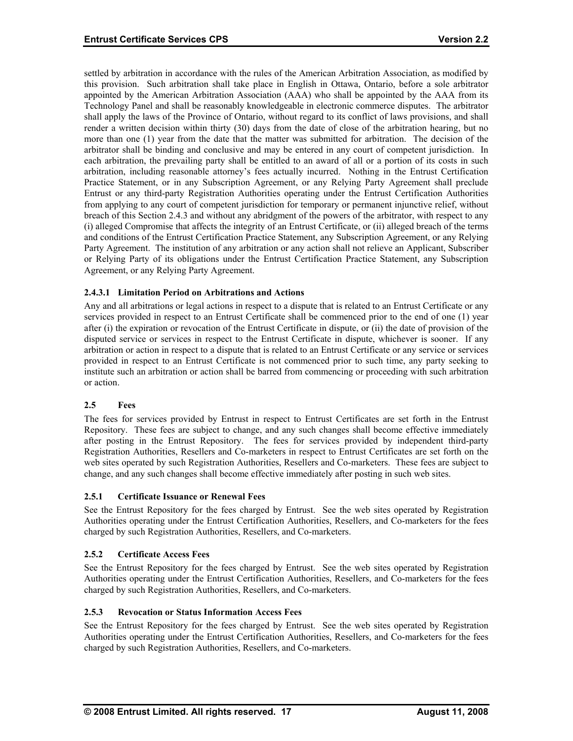<span id="page-22-0"></span>settled by arbitration in accordance with the rules of the American Arbitration Association, as modified by this provision. Such arbitration shall take place in English in Ottawa, Ontario, before a sole arbitrator appointed by the American Arbitration Association (AAA) who shall be appointed by the AAA from its Technology Panel and shall be reasonably knowledgeable in electronic commerce disputes. The arbitrator shall apply the laws of the Province of Ontario, without regard to its conflict of laws provisions, and shall render a written decision within thirty (30) days from the date of close of the arbitration hearing, but no more than one (1) year from the date that the matter was submitted for arbitration. The decision of the arbitrator shall be binding and conclusive and may be entered in any court of competent jurisdiction. In each arbitration, the prevailing party shall be entitled to an award of all or a portion of its costs in such arbitration, including reasonable attorney's fees actually incurred. Nothing in the Entrust Certification Practice Statement, or in any Subscription Agreement, or any Relying Party Agreement shall preclude Entrust or any third-party Registration Authorities operating under the Entrust Certification Authorities from applying to any court of competent jurisdiction for temporary or permanent injunctive relief, without breach of this Section 2.4.3 and without any abridgment of the powers of the arbitrator, with respect to any (i) alleged Compromise that affects the integrity of an Entrust Certificate, or (ii) alleged breach of the terms and conditions of the Entrust Certification Practice Statement, any Subscription Agreement, or any Relying Party Agreement. The institution of any arbitration or any action shall not relieve an Applicant, Subscriber or Relying Party of its obligations under the Entrust Certification Practice Statement, any Subscription Agreement, or any Relying Party Agreement.

# **2.4.3.1 Limitation Period on Arbitrations and Actions**

Any and all arbitrations or legal actions in respect to a dispute that is related to an Entrust Certificate or any services provided in respect to an Entrust Certificate shall be commenced prior to the end of one (1) year after (i) the expiration or revocation of the Entrust Certificate in dispute, or (ii) the date of provision of the disputed service or services in respect to the Entrust Certificate in dispute, whichever is sooner. If any arbitration or action in respect to a dispute that is related to an Entrust Certificate or any service or services provided in respect to an Entrust Certificate is not commenced prior to such time, any party seeking to institute such an arbitration or action shall be barred from commencing or proceeding with such arbitration or action.

#### **ees**  $2.5$

The fees for services provided by Entrust in respect to Entrust Certificates are set forth in the Entrust Repository. These fees are subject to change, and any such changes shall become effective immediately after posting in the Entrust Repository. The fees for services provided by independent third-party Registration Authorities, Resellers and Co-marketers in respect to Entrust Certificates are set forth on the web sites operated by such Registration Authorities, Resellers and Co-marketers. These fees are subject to change, and any such changes shall become effective immediately after posting in such web sites.

#### **2.5.1 Certificate Issuance or Renewal Fees**

See the Entrust Repository for the fees charged by Entrust. See the web sites operated by Registration Authorities operating under the Entrust Certification Authorities, Resellers, and Co-marketers for the fees charged by such Registration Authorities, Resellers, and Co-marketers.

#### **2.5.2 Certificate Access Fees**

See the Entrust Repository for the fees charged by Entrust. See the web sites operated by Registration Authorities operating under the Entrust Certification Authorities, Resellers, and Co-marketers for the fees charged by such Registration Authorities, Resellers, and Co-marketers.

## **2.5.3 Revocation or Status Information Access Fees**

See the Entrust Repository for the fees charged by Entrust. See the web sites operated by Registration Authorities operating under the Entrust Certification Authorities, Resellers, and Co-marketers for the fees charged by such Registration Authorities, Resellers, and Co-marketers.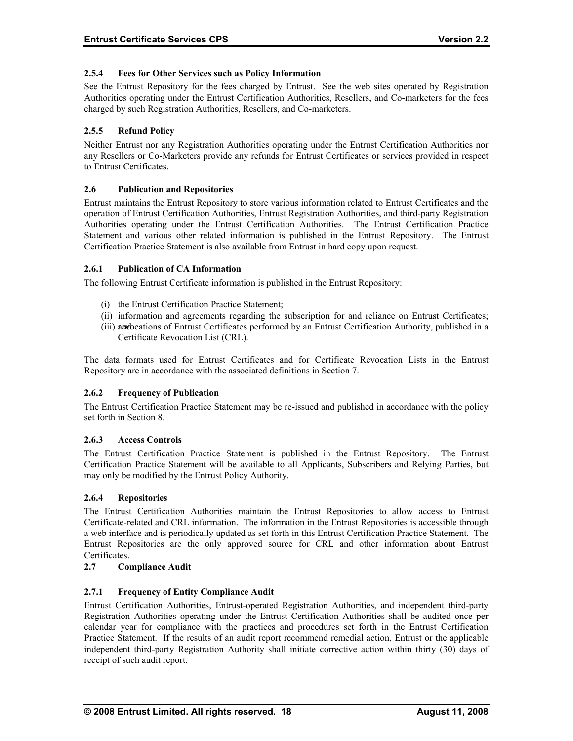# <span id="page-23-0"></span>**2.5.4 Fees for Other Services such as Policy Information**

See the Entrust Repository for the fees charged by Entrust. See the web sites operated by Registration Authorities operating under the Entrust Certification Authorities, Resellers, and Co-marketers for the fees charged by such Registration Authorities, Resellers, and Co-marketers.

# **2.5.5 Refund Policy**

Neither Entrust nor any Registration Authorities operating under the Entrust Certification Authorities nor any Resellers or Co-Marketers provide any refunds for Entrust Certificates or services provided in respect to Entrust Certificates.

# **positories 2.6 Publication and Re**

Authorities operating under the Entrust Certification Authorities. The Entrust Certification Practice Statement and various other related information is published in the Entrust Repository. The Entrust Certification Practice Statement is also available from Entrust in hard copy upon request. Entrust maintains the Entrust Repository to store various information related to Entrust Certificates and the operation of Entrust Certification Authorities, Entrust Registration Authorities, and third-party Registration

# **2.6.1 Publication of CA Information**

The following Entrust Certificate information is published in the Entrust Repository:

- (i) the Entrust Certification Practice Statement;
- (ii) information and agreements regarding the subscription for and reliance on Entrust Certificates;
- (iii) arreductions of Entrust Certificates performed by an Entrust Certification Authority, published in a Certificate Revocation List (CRL).

The data formats used for Entrust Certificates and for Certificate Revocation Lists in the Entrust Rep ository are in accordance with the associated definitions in Section 7.

#### **2.6. 2 Frequency of Publication**

The Entrust Certification Practice Statement may be re-issued and published in accordance with the policy set forth in Section 8.

#### **2.6.3 Access Controls**

The Entrust Certification Practice Statement is published in the Entrust Repository. The Entrust Certification Practice Statement will be available to all Applicants, Subscribers and Relying Parties, but may only be modified by the Entrust Policy Authority.

#### **2.6.4 Repositories**

The Entrust Certification Authorities maintain the Entrust Repositories to allow access to Entrust Entrust Repositories are the only approved source for CRL and other information about Entrust Certificates. Certificate-related and CRL information. The information in the Entrust Repositories is accessible through a web interface and is periodically updated as set forth in this Entrust Certification Practice Statement. The

#### **2.7 Compliance Audit**

# **2.7.1 Frequency of Entity Compliance Audit**

calendar year for compliance with the practices and procedures set forth in the Entrust Certification Practice Statement. If the results of an audit report recommend remedial action, Entrust or the applicable independent third-party Registration Authority shall initiate corrective action within thirty (30) days of receipt of such audit report. Entrust Certification Authorities, Entrust-operated Registration Authorities, and independent third-party Registration Authorities operating under the Entrust Certification Authorities shall be audited once per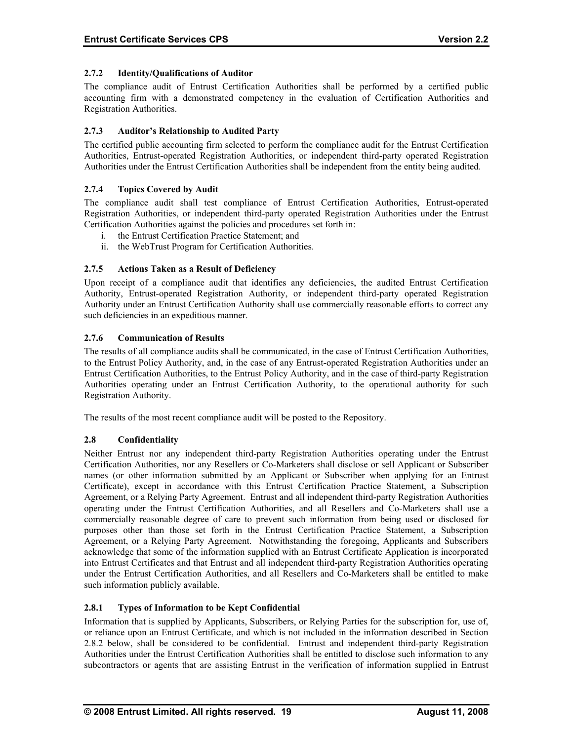# <span id="page-24-0"></span>**2.7.2 Identity/Qualifications of Auditor**

The compliance audit of Entrust Certification Authorities shall be performed by a certified public accounting firm with a demonstrated competency in the evaluation of Certification Authorities and Registration Authorities.

# **2.7.3 Auditor's Relationship to Audited Party**

Authorities under the Entrust Certification Authorities shall be independent from the entity being audited. The certified public accounting firm selected to perform the compliance audit for the Entrust Certification Authorities, Entrust-operated Registration Authorities, or independent third-party operated Registration

# **2.7.4 Topics Covered by Audit**

Certification Authorities against the policies and procedures set forth in: The compliance audit shall test compliance of Entrust Certification Authorities, Entrust-operated Registration Authorities, or independent third-party operated Registration Authorities under the Entrust

- i. the Entrust Certification Practice Statement; and
- ii. the WebTrust Program for Certification Authorities.

# **2.7.5 Actions Taken as a Result of Deficiency**

Authority, Entrust-operated Registration Authority, or independent third-party operated Registration Authority under an Entrust Certification Authority shall use commercially reasonable efforts to correct any Upon receipt of a compliance audit that identifies any deficiencies, the audited Entrust Certification such deficiencies in an expeditious manner.

# **2.7.6 Communication of Results**

The results of all compliance audits shall be communicated, in the case of Entrust Certification Authorities, to the Entrust Policy Authority, and, in the case of any Entrust-operated Registration Authorities under an Entrust Certification Authorities, to the Entrust Policy Authority, and in the case of third-party Registration Authorities operating under an Entrust Certification Authority, to the operational authority for such Registration Authority.

The results of the most recent compliance audit will be posted to the Repository.

#### **2.8 Confidentiality**

Neither Entrust nor any independent third-party Registration Authorities operating under the Entrust operating under the Entrust Certification Authorities, and all Resellers and Co-Marketers shall use a commercially reasonable degree of care to prevent such information from being used or disclosed for purposes other than those set forth in the Entrust Certification Practice Statement, a Subscription Agreement, or a Relying Party Agreement. Notwithstanding the foregoing, Applicants and Subscribers acknowledge that some of the information supplied with an Entrust Certificate Application is incorporated Certification Authorities, nor any Resellers or Co-Marketers shall disclose or sell Applicant or Subscriber names (or other information submitted by an Applicant or Subscriber when applying for an Entrust Certificate), except in accordance with this Entrust Certification Practice Statement, a Subscription Agreement, or a Relying Party Agreement. Entrust and all independent third-party Registration Authorities into Entrust Certificates and that Entrust and all independent third-party Registration Authorities operating under the Entrust Certification Authorities, and all Resellers and Co-Marketers shall be entitled to make such information publicly available.

#### **2.8.1 Types of Information to be Kept Confidential**

Information that is supplied by Applicants, Subscribers, or Relying Parties for the subscription for, use of, or reliance upon an Entrust Certificate, and which is not included in the information described in Section 2.8.2 below, shall be considered to be confidential. Entrust and independent third-party Registration Authorities under the Entrust Certification Authorities shall be entitled to disclose such information to any subcontractors or agents that are assisting Entrust in the verification of information supplied in Entrust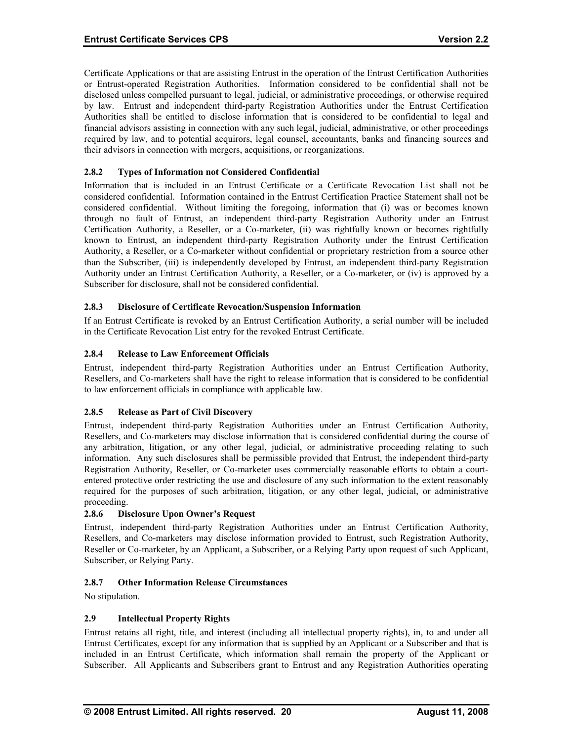<span id="page-25-0"></span>Certificate Applications or that are assisting Entrust in the operation of the Entrust Certification Authorities or Entrust-operated Registration Authorities. Information considered to be confidential shall not be disclosed unless compelled pursuant to legal, judicial, or administrative proceedings, or otherwise required by law. Entrust and independent third-party Registration Authorities under the Entrust Certification Authorities shall be entitled to disclose information that is considered to be confidential to legal and financial advisors assisting in connection with any such legal, judicial, administrative, or other proceedings required by law, and to potential acquirors, legal counsel, accountants, banks and financing sources and their advisors in connection with mergers, acquisitions, or reorganizations.

# **2.8.2 Types of Information not Considered Confidential**

than the Subscriber, (iii) is independently developed by Entrust, an independent third-party Registration Authority under an Entrust Certification Authority, a Reseller, or a Co-marketer, or (iv) is approved by a Subscriber for disclosure, shall not be considered confidential. Information that is included in an Entrust Certificate or a Certificate Revocation List shall not be considered confidential. Information contained in the Entrust Certification Practice Statement shall not be considered confidential. Without limiting the foregoing, information that (i) was or becomes known through no fault of Entrust, an independent third-party Registration Authority under an Entrust Certification Authority, a Reseller, or a Co-marketer, (ii) was rightfully known or becomes rightfully known to Entrust, an independent third-party Registration Authority under the Entrust Certification Authority, a Reseller, or a Co-marketer without confidential or proprietary restriction from a source other

# **2.8.3 Disclosure of Certificate Revocation/Suspension Information**

If an Entrust Certificate is revoked by an Entrust Certification Authority, a serial number will be included in the Certificate Revocation List entry for the revoked Entrust Certificate.

# **2.8.4 Release to Law Enforcement Officials**

Entrust, independent third-party Registration Authorities under an Entrust Certification Authority, Resellers, and Co-marketers shall have the right to release information that is considered to be confidential to law enforcement officials in compliance with applicable law.

#### **2.8.5 Release as Part of Civil Discovery**

Entrust, independent third-party Registration Authorities under an Entrust Certification Authority, any arbitration, litigation, or any other legal, judicial, or administrative proceeding relating to such information. Any such disclosures shall be permissible provided that Entrust, the independent third-party Registration Authority, Reseller, or Co-marketer uses commercially reasonable efforts to obtain a court-Resellers, and Co-marketers may disclose information that is considered confidential during the course of entered protective order restricting the use and disclosure of any such information to the extent reasonably required for the purposes of such arbitration, litigation, or any other legal, judicial, or administrative proceeding.

#### **2.8.6 Disclosure Upon Owner's Request**

Entrust, independent third-party Registration Authorities under an Entrust Certification Authority, Resellers, and Co-marketers may disclose information provided to Entrust, such Registration Authority, Reseller or Co-marketer, by an Applicant, a Subscriber, or a Relying Party upon request of such Applicant, Subscriber, or Relying Party.

#### **2.8.7 Other Information Release Circumstances**

No stipulation.

#### **llectual Property Rights 2.9 Inte**

Entrust retains all right, title, and interest (including all intellectual property rights), in, to and under all Entrust Certificates, except for any information that is supplied by an Applicant or a Subscriber and that is included in an Entrust Certificate, which information shall remain the property of the Applicant or Subscriber. All Applicants and Subscribers grant to Entrust and any Registration Authorities operating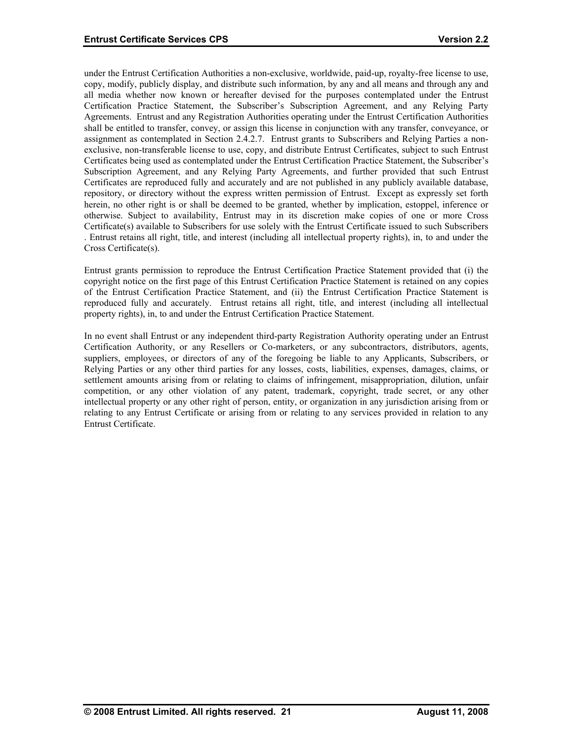<span id="page-26-0"></span>under the Entrust Certification Authorities a non-exclusive, worldwide, paid-up, royalty-free license to use, copy, modify, publicly display, and distribute such information, by any and all means and through any and all media whether now known or hereafter devised for the purposes contemplated under the Entrust Certification Practice Statement, the Subscriber's Subscription Agreement, and any Relying Party Agreements. Entrust and any Registration Authorities operating under the Entrust Certification Authorities shall be entitled to transfer, convey, or assign this license in conjunction with any transfer, conveyance, or assignment as contemplated in Section 2.4.2.7. Entrust grants to Subscribers and Relying Parties a nonexclusive, non-transferable license to use, copy, and distribute Entrust Certificates, subject to such Entrust Certificates being used as contemplated under the Entrust Certification Practice Statement, the Subscriber's Subscription Agreement, and any Relying Party Agreements, and further provided that such Entrust Certificates are reproduced fully and accurately and are not published in any publicly available database, repository, or directory without the express written permission of Entrust. Except as expressly set forth herein, no other right is or shall be deemed to be granted, whether by implication, estoppel, inference or otherwise. Subject to availability, Entrust may in its discretion make copies of one or more Cross Certificate(s) available to Subscribers for use solely with the Entrust Certificate issued to such Subscribers . Entrust retains all right, title, and interest (including all intellectual property rights), in, to and under the Cross Certificate(s).

Entrust grants permission to reproduce the Entrust Certification Practice Statement provided that (i) the copyright notice on the first page of this Entrust Certification Practice Statement is retained on any copies of the Entrust Certification Practice Statement, and (ii) the Entrust Certification Practice Statement is reproduced fully and accurately. Entrust retains all right, title, and interest (including all intellectual property rights), in, to and under the Entrust Certification Practice Statement.

settlement amounts arising from or relating to claims of infringement, misappropriation, dilution, unfair In no event shall Entrust or any independent third-party Registration Authority operating under an Entrust Certification Authority, or any Resellers or Co-marketers, or any subcontractors, distributors, agents, suppliers, employees, or directors of any of the foregoing be liable to any Applicants, Subscribers, or Relying Parties or any other third parties for any losses, costs, liabilities, expenses, damages, claims, or competition, or any other violation of any patent, trademark, copyright, trade secret, or any other intellectual property or any other right of person, entity, or organization in any jurisdiction arising from or relating to any Entrust Certificate or arising from or relating to any services provided in relation to any Entrust Certificate.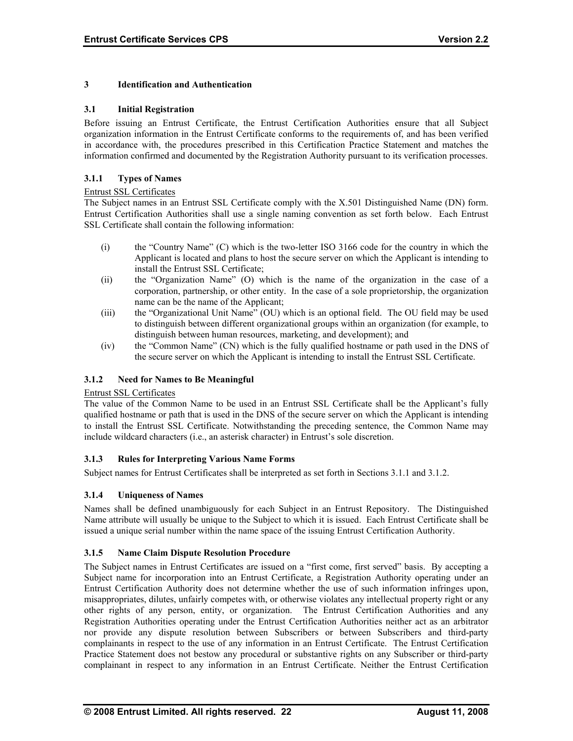# <span id="page-27-0"></span>**3 Identification and Authentication**

#### **3.1 Initial Registration**

Before issuing an Entrust Certificate, the Entrust Certification Authorities ensure that all Subject organization information in the Entrust Certificate conforms to the requirements of, and has been verified in accordance with, the procedures prescribed in this Certification Practice Statement and matches the information confirmed and documented by the Registration Authority pursuant to its verification processes.

# **3.1.1 Types of Names**

#### Entrust SSL Certificates

The Subject names in an Entrust SSL Certificate comply with the X.501 Distinguished Name (DN) form. Entrust Certification Authorities shall use a single naming convention as set forth below. Each Entrust SSL Certificate shall contain the following information:

- (i) the "Country Name" (C) which is the two-letter ISO 3166 code for the country in which the Applicant is located and plans to host the secure server on which the Applicant is intending to install the Entrust SSL Certificate;
- (ii) the "Organization Name" (O) which is the name of the organization in the case of a corporation, partnership, or other entity. In the case of a sole proprietorship, the organization name can be the name of the Applicant;
- (iii) the "Organizational Unit Name" (OU) which is an optional field. The OU field may be used to distinguish between different organizational groups within an organization (for example, to distinguish between human resources, marketing, and development); and
- (iv) the "Common Name" (CN) which is the fully qualified hostname or path used in the DNS of the secure server on which the Applicant is intending to install the Entrust SSL Certificate.

#### **3.1.2 Need for Names to Be Meaningful**

#### Entrust SSL Certificates

The value of the Common Name to be used in an Entrust SSL Certificate shall be the Applicant's fully qualified hostname or path that is used in the DNS of the secure server on which the Applicant is intending to install the Entrust SSL Certificate. Notwithstanding the preceding sentence, the Common Name may include wildcard characters (i.e., an asterisk character) in Entrust's sole discretion.

#### **3.1.3 Rules for Interpreting Various Name Forms**

Subject names for Entrust Certificates shall be interpreted as set forth in Sections 3.1.1 and 3.1.2.

#### **3.1.4 Uniqueness of Names**

Names shall be defined unambiguously for each Subject in an Entrust Repository. The Distinguished Name attribute will usually be unique to the Subject to which it is issued. Each Entrust Certificate shall be issued a unique serial number within the name space of the issuing Entrust Certification Authority.

#### **3.1.5 Name Claim Dispute Resolution Procedure**

The Subject names in Entrust Certificates are issued on a "first come, first served" basis. By accepting a Subject name for incorporation into an Entrust Certificate, a Registration Authority operating under an Entrust Certification Authority does not determine whether the use of such information infringes upon, misappropriates, dilutes, unfairly competes with, or otherwise violates any intellectual property right or any other rights of any person, entity, or organization. The Entrust Certification Authorities and any Registration Authorities operating under the Entrust Certification Authorities neither act as an arbitrator nor provide any dispute resolution between Subscribers or between Subscribers and third-party complainants in respect to the use of any information in an Entrust Certificate. The Entrust Certification Practice Statement does not bestow any procedural or substantive rights on any Subscriber or third-party complainant in respect to any information in an Entrust Certificate. Neither the Entrust Certification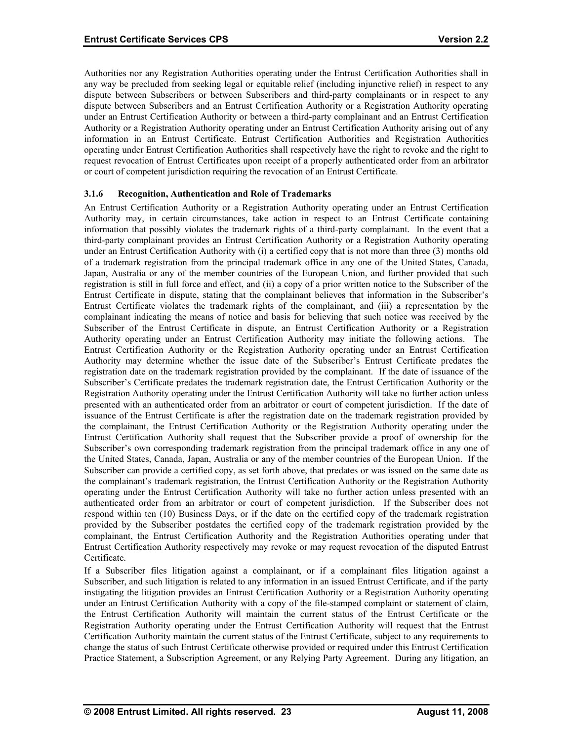<span id="page-28-0"></span>Authorities nor any Registration Authorities operating under the Entrust Certification Authorities shall in any way be precluded from seeking legal or equitable relief (including injunctive relief) in respect to any dispute between Subscribers or between Subscribers and third-party complainants or in respect to any dispute between Subscribers and an Entrust Certification Authority or a Registration Authority operating under an Entrust Certification Authority or between a third-party complainant and an Entrust Certification Authority or a Registration Authority operating under an Entrust Certification Authority arising out of any information in an Entrust Certificate. Entrust Certification Authorities and Registration Authorities operating under Entrust Certification Authorities shall respectively have the right to revoke and the right to request revocation of Entrust Certificates upon receipt of a properly authenticated order from an arbitrator or court of competent jurisdiction requiring the revocation of an Entrust Certificate.

# **3.1.6 Recognition, Authentication and Role of Trademarks**

An Entrust Certification Authority or a Registration Authority operating under an Entrust Certification Authority may, in certain circumstances, take action in respect to an Entrust Certificate containing information that possibly violates the trademark rights of a third-party complainant. In the event that a third-party complainant provides an Entrust Certification Authority or a Registration Authority operating under an Entrust Certification Authority with (i) a certified copy that is not more than three (3) months old of a trademark registration from the principal trademark office in any one of the United States, Canada, Japan, Australia or any of the member countries of the European Union, and further provided that such registration is still in full force and effect, and (ii) a copy of a prior written notice to the Subscriber of the Entrust Certificate in dispute, stating that the complainant believes that information in the Subscriber's Entrust Certificate violates the trademark rights of the complainant, and (iii) a representation by the complainant indicating the means of notice and basis for believing that such notice was received by the Subscriber of the Entrust Certificate in dispute, an Entrust Certification Authority or a Registration Authority operating under an Entrust Certification Authority may initiate the following actions. The Entrust Certification Authority or the Registration Authority operating under an Entrust Certification Authority may determine whether the issue date of the Subscriber's Entrust Certificate predates the registration date on the trademark registration provided by the complainant. If the date of issuance of the Subscriber's Certificate predates the trademark registration date, the Entrust Certification Authority or the Registration Authority operating under the Entrust Certification Authority will take no further action unless presented with an authenticated order from an arbitrator or court of competent jurisdiction. If the date of issuance of the Entrust Certificate is after the registration date on the trademark registration provided by the complainant, the Entrust Certification Authority or the Registration Authority operating under the Entrust Certification Authority shall request that the Subscriber provide a proof of ownership for the Subscriber's own corresponding trademark registration from the principal trademark office in any one of the United States, Canada, Japan, Australia or any of the member countries of the European Union. If the Subscriber can provide a certified copy, as set forth above, that predates or was issued on the same date as the complainant's trademark registration, the Entrust Certification Authority or the Registration Authority operating under the Entrust Certification Authority will take no further action unless presented with an authenticated order from an arbitrator or court of competent jurisdiction. If the Subscriber does not respond within ten (10) Business Days, or if the date on the certified copy of the trademark registration provided by the Subscriber postdates the certified copy of the trademark registration provided by the complainant, the Entrust Certification Authority and the Registration Authorities operating under that Entrust Certification Authority respectively may revoke or may request revocation of the disputed Entrust Certificate.

If a Subscriber files litigation against a complainant, or if a complainant files litigation against a Subscriber, and such litigation is related to any information in an issued Entrust Certificate, and if the party instigating the litigation provides an Entrust Certification Authority or a Registration Authority operating under an Entrust Certification Authority with a copy of the file-stamped complaint or statement of claim, the Entrust Certification Authority will maintain the current status of the Entrust Certificate or the Registration Authority operating under the Entrust Certification Authority will request that the Entrust Certification Authority maintain the current status of the Entrust Certificate, subject to any requirements to change the status of such Entrust Certificate otherwise provided or required under this Entrust Certification Practice Statement, a Subscription Agreement, or any Relying Party Agreement. During any litigation, an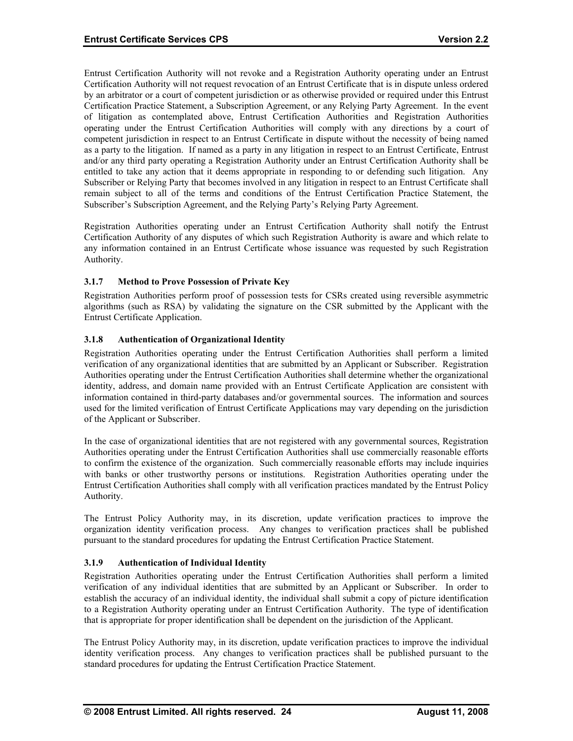<span id="page-29-0"></span>Entrust Certification Authority will not revoke and a Registration Authority operating under an Entrust Certification Authority will not request revocation of an Entrust Certificate that is in dispute unless ordered by an arbitrator or a court of competent jurisdiction or as otherwise provided or required under this Entrust Certification Practice Statement, a Subscription Agreement, or any Relying Party Agreement. In the event of litigation as contemplated above, Entrust Certification Authorities and Registration Authorities operating under the Entrust Certification Authorities will comply with any directions by a court of competent jurisdiction in respect to an Entrust Certificate in dispute without the necessity of being named as a party to the litigation. If named as a party in any litigation in respect to an Entrust Certificate, Entrust and/or any third party operating a Registration Authority under an Entrust Certification Authority shall be entitled to take any action that it deems appropriate in responding to or defending such litigation. Any Subscriber or Relying Party that becomes involved in any litigation in respect to an Entrust Certificate shall remain subject to all of the terms and conditions of the Entrust Certification Practice Statement, the Subscriber's Subscription Agreement, and the Relying Party's Relying Party Agreement.

Registration Authorities operating under an Entrust Certification Authority shall notify the Entrust Certification Authority of any disputes of which such Registration Authority is aware and which relate to any information contained in an Entrust Certificate whose issuance was requested by such Registration Authority.

# **3.1.7 Method to Prove Possession of Private Key**

Registration Authorities perform proof of possession tests for CSRs created using reversible asymmetric algorithms (such as RSA) by validating the signature on the CSR submitted by the Applicant with the Entrust Certificate Application.

# **3.1.8 Authentication of Organizational Identity**

Registration Authorities operating under the Entrust Certification Authorities shall perform a limited verification of any organizational identities that are submitted by an Applicant or Subscriber. Registration Authorities operating under the Entrust Certification Authorities shall determine whether the organizational identity, address, and domain name provided with an Entrust Certificate Application are consistent with information contained in third-party databases and/or governmental sources. The information and sources used for the limited verification of Entrust Certificate Applications may vary depending on the jurisdiction of the Applicant or Subscriber.

In the case of organizational identities that are not registered with any governmental sources, Registration Authorities operating under the Entrust Certification Authorities shall use commercially reasonable efforts to confirm the existence of the organization. Such commercially reasonable efforts may include inquiries with banks or other trustworthy persons or institutions. Registration Authorities operating under the Entrust Certification Authorities shall comply with all verification practices mandated by the Entrust Policy Authority.

The Entrust Policy Authority may, in its discretion, update verification practices to improve the organization identity verification process. Any changes to verification practices shall be published pursuant to the standard procedures for updating the Entrust Certification Practice Statement.

#### **3.1.9 Authentication of Individual Identity**

Registration Authorities operating under the Entrust Certification Authorities shall perform a limited verification of any individual identities that are submitted by an Applicant or Subscriber. In order to establish the accuracy of an individual identity, the individual shall submit a copy of picture identification to a Registration Authority operating under an Entrust Certification Authority. The type of identification that is appropriate for proper identification shall be dependent on the jurisdiction of the Applicant.

The Entrust Policy Authority may, in its discretion, update verification practices to improve the individual identity verification process. Any changes to verification practices shall be published pursuant to the standard procedures for updating the Entrust Certification Practice Statement.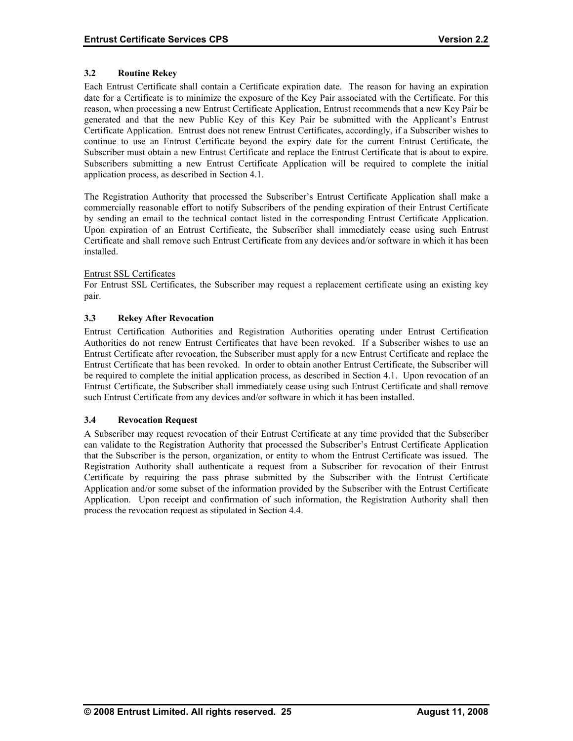# <span id="page-30-0"></span>**3.2 Routine Rekey**

Each Entrust Certificate shall contain a Certificate expiration date. The reason for having an expiration date for a Certificate is to minimize the exposure of the Key Pair associated with the Certificate. For this reason, when processing a new Entrust Certificate Application, Entrust recommends that a new Key Pair be generated and that the new Public Key of this Key Pair be submitted with the Applicant's Entrust Certificate Application. Entrust does not renew Entrust Certificates, accordingly, if a Subscriber wishes to continue to use an Entrust Certificate beyond the expiry date for the current Entrust Certificate, the Subscriber must obtain a new Entrust Certificate and replace the Entrust Certificate that is about to expire. Subscribers submitting a new Entrust Certificate Application will be required to complete the initial application process, as described in Section 4.1.

The Registration Authority that processed the Subscriber's Entrust Certificate Application shall make a commercially reasonable effort to notify Subscribers of the pending expiration of their Entrust Certificate by sending an email to the technical contact listed in the corresponding Entrust Certificate Application. Upon expiration of an Entrust Certificate, the Subscriber shall immediately cease using such Entrust Certificate and shall remove such Entrust Certificate from any devices and/or software in which it has been installed.

#### Entrust SSL Certificates

For Entrust SSL Certificates, the Subscriber may request a replacement certificate using an existing key pair.

#### **3.3 Rekey After Revocation**

Entrust Certification Authorities and Registration Authorities operating under Entrust Certification Authorities do not renew Entrust Certificates that have been revoked. If a Subscriber wishes to use an Entrust Certificate after revocation, the Subscriber must apply for a new Entrust Certificate and replace the Entrust Certificate that has been revoked. In order to obtain another Entrust Certificate, the Subscriber will be required to complete the initial application process, as described in Section 4.1. Upon revocation of an Entrust Certificate, the Subscriber shall immediately cease using such Entrust Certificate and shall remove such Entrust Certificate from any devices and/or software in which it has been installed.

#### **3.4 Revocation Request**

A Subscriber may request revocation of their Entrust Certificate at any time provided that the Subscriber can validate to the Registration Authority that processed the Subscriber's Entrust Certificate Application that the Subscriber is the person, organization, or entity to whom the Entrust Certificate was issued. The Registration Authority shall authenticate a request from a Subscriber for revocation of their Entrust Certificate by requiring the pass phrase submitted by the Subscriber with the Entrust Certificate Application and/or some subset of the information provided by the Subscriber with the Entrust Certificate Application. Upon receipt and confirmation of such information, the Registration Authority shall then process the revocation request as stipulated in Section 4.4.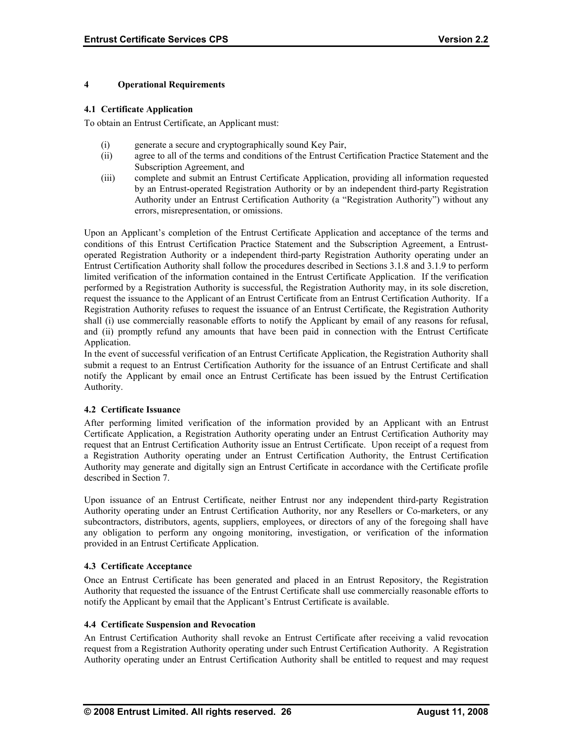#### <span id="page-31-0"></span>**4 Operational Requirements**

#### **4.1 Certificate Application**

To obtain an Entrust Certificate, an Applicant must:

- (i) generate a secure and cryptographically sound Key Pair,
- (ii) agree to all of the terms and conditions of the Entrust Certification Practice Statement and the Subscription Agreement, and
- (iii) complete and submit an Entrust Certificate Application, providing all information requested by an Entrust-operated Registration Authority or by an independent third-party Registration Authority under an Entrust Certification Authority (a "Registration Authority") without any errors, misrepresentation, or omissions.

Upon an Applicant's completion of the Entrust Certificate Application and acceptance of the terms and conditions of this Entrust Certification Practice Statement and the Subscription Agreement, a Entrustoperated Registration Authority or a independent third-party Registration Authority operating under an Entrust Certification Authority shall follow the procedures described in Sections 3.1.8 and 3.1.9 to perform limited verification of the information contained in the Entrust Certificate Application. If the verification performed by a Registration Authority is successful, the Registration Authority may, in its sole discretion, request the issuance to the Applicant of an Entrust Certificate from an Entrust Certification Authority. If a Registration Authority refuses to request the issuance of an Entrust Certificate, the Registration Authority shall (i) use commercially reasonable efforts to notify the Applicant by email of any reasons for refusal, and (ii) promptly refund any amounts that have been paid in connection with the Entrust Certificate Application.

In the event of successful verification of an Entrust Certificate Application, the Registration Authority shall submit a request to an Entrust Certification Authority for the issuance of an Entrust Certificate and shall notify the Applicant by email once an Entrust Certificate has been issued by the Entrust Certification Authority.

#### **4.2 Certificate Issuance**

After performing limited verification of the information provided by an Applicant with an Entrust Certificate Application, a Registration Authority operating under an Entrust Certification Authority may request that an Entrust Certification Authority issue an Entrust Certificate. Upon receipt of a request from a Registration Authority operating under an Entrust Certification Authority, the Entrust Certification Authority may generate and digitally sign an Entrust Certificate in accordance with the Certificate profile described in Section 7.

Upon issuance of an Entrust Certificate, neither Entrust nor any independent third-party Registration Authority operating under an Entrust Certification Authority, nor any Resellers or Co-marketers, or any subcontractors, distributors, agents, suppliers, employees, or directors of any of the foregoing shall have any obligation to perform any ongoing monitoring, investigation, or verification of the information provided in an Entrust Certificate Application.

#### **4.3 Certificate Acceptance**

Once an Entrust Certificate has been generated and placed in an Entrust Repository, the Registration Authority that requested the issuance of the Entrust Certificate shall use commercially reasonable efforts to notify the Applicant by email that the Applicant's Entrust Certificate is available.

#### **4.4 Certificate Suspension and Revocation**

An Entrust Certification Authority shall revoke an Entrust Certificate after receiving a valid revocation request from a Registration Authority operating under such Entrust Certification Authority. A Registration Authority operating under an Entrust Certification Authority shall be entitled to request and may request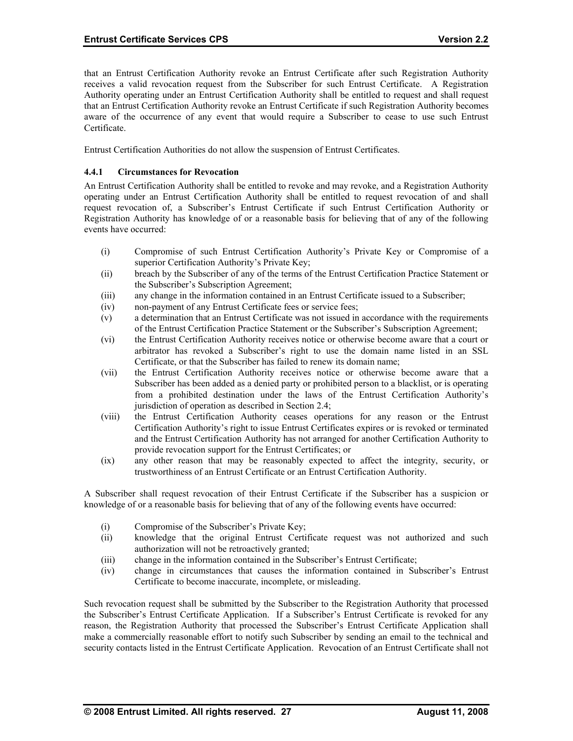<span id="page-32-0"></span>that an Entrust Certification Authority revoke an Entrust Certificate after such Registration Authority receives a valid revocation request from the Subscriber for such Entrust Certificate. A Registration Authority operating under an Entrust Certification Authority shall be entitled to request and shall request that an Entrust Certification Authority revoke an Entrust Certificate if such Registration Authority becomes aware of the occurrence of any event that would require a Subscriber to cease to use such Entrust Certificate.

Entrust Certification Authorities do not allow the suspension of Entrust Certificates.

# **4.4.1 Circumstances for Revocation**

An Entrust Certification Authority shall be entitled to revoke and may revoke, and a Registration Authority operating under an Entrust Certification Authority shall be entitled to request revocation of and shall request revocation of, a Subscriber's Entrust Certificate if such Entrust Certification Authority or Registration Authority has knowledge of or a reasonable basis for believing that of any of the following events have occurred:

- (i) Compromise of such Entrust Certification Authority's Private Key or Compromise of a superior Certification Authority's Private Key;
- (ii) breach by the Subscriber of any of the terms of the Entrust Certification Practice Statement or the Subscriber's Subscription Agreement;
- (iii) any change in the information contained in an Entrust Certificate issued to a Subscriber;
- (iv) non-payment of any Entrust Certificate fees or service fees;
- (v) a determination that an Entrust Certificate was not issued in accordance with the requirements of the Entrust Certification Practice Statement or the Subscriber's Subscription Agreement;
- (vi) r the Entrust Certification Authority receives notice or otherwise become aware that a court o arbitrator has revoked a Subscriber's right to use the domain name listed in an SSL Certificate, or that the Subscriber has failed to renew its domain name;
- (vii) the Entrust Certification Authority receives notice or otherwise become aware that a Subscriber has been added as a denied party or prohibited person to a blacklist, or is operating from a prohibited destination under the laws of the Entrust Certification Authority's jurisdiction of operation as described in Section 2.4;
- (viii) the Entrust Certification Authority ceases operations for any reason or the Entrust Certification Authority's right to issue Entrust Certificates expires or is revoked or terminated and the Entrust Certification Authority has not arranged for another Certification Authority to provide revocation support for the Entrust Certificates; or
- (ix) any other reason that may be reasonably expected to affect the integrity, security, or trustworthiness of an Entrust Certificate or an Entrust Certification Authority.

A Subscriber shall request revocation of their Entrust Certificate if the Subscriber has a suspicion or knowledge of or a reasonable basis for believing that of any of the following events have occurred:

- (i) Compromise of the Subscriber's Private Key;
- (ii) knowledge that the original Entrust Certificate request was not authorized and such authorization will not be retroactively granted;
- (iii) change in the information contained in the Subscriber's Entrust Certificate;
- (iv) change in circumstances that causes the information contained in Subscriber's Entrust Certificate to become inaccurate, incomplete, or misleading.

Such revocation request shall be submitted by the Subscriber to the Registration Authority that processed the Subscriber's Entrust Certificate Application. If a Subscriber's Entrust Certificate is revoked for any reason, the Registration Authority that processed the Subscriber's Entrust Certificate Application shall make a commercially reasonable effort to notify such Subscriber by sending an email to the technical and security contacts listed in the Entrust Certificate Application. Revocation of an Entrust Certificate shall not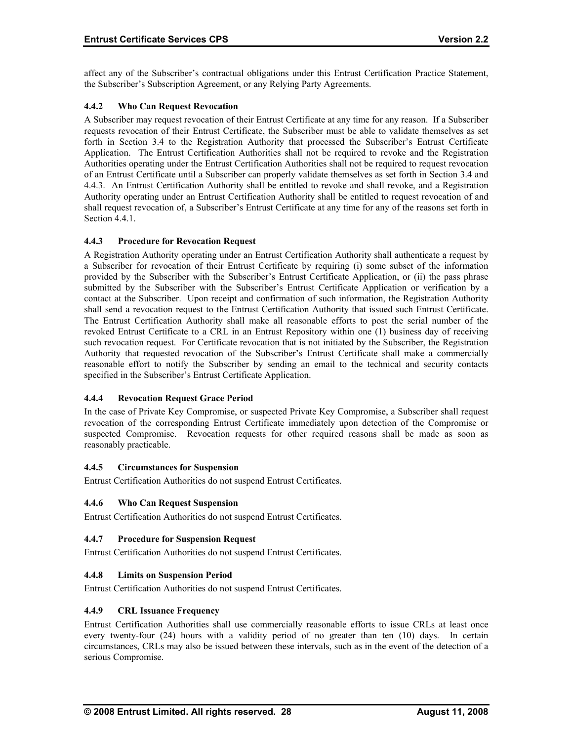<span id="page-33-0"></span>affect any of the Subscriber's contractual obligations under this Entrust Certification Practice Statement, the Subscriber's Subscription Agreement, or any Relying Party Agreements.

# **4.4.2 Who Can Request Revocation**

A Subscriber may request revocation of their Entrust Certificate at any time for any reason. If a Subscriber requests revocation of their Entrust Certificate, the Subscriber must be able to validate themselves as set forth in Section 3.4 to the Registration Authority that processed the Subscriber's Entrust Certificate Application. The Entrust Certification Authorities shall not be required to revoke and the Registration Authorities operating under the Entrust Certification Authorities shall not be required to request revocation of an Entrust Certificate until a Subscriber can properly validate themselves as set forth in Section 3.4 and 4.4.3. An Entrust Certification Authority shall be entitled to revoke and shall revoke, and a Registration Authority operating under an Entrust Certification Authority shall be entitled to request revocation of and shall request revocation of, a Subscriber's Entrust Certificate at any time for any of the reasons set forth in Section 4.4.1.

# **4.4.3 Procedure for Revocation Request**

A Registration Authority operating under an Entrust Certification Authority shall authenticate a request by a Subscriber for revocation of their Entrust Certificate by requiring (i) some subset of the information provided by the Subscriber with the Subscriber's Entrust Certificate Application, or (ii) the pass phrase submitted by the Subscriber with the Subscriber's Entrust Certificate Application or verification by a contact at the Subscriber. Upon receipt and confirmation of such information, the Registration Authority shall send a revocation request to the Entrust Certification Authority that issued such Entrust Certificate. The Entrust Certification Authority shall make all reasonable efforts to post the serial number of the revoked Entrust Certificate to a CRL in an Entrust Repository within one (1) business day of receiving such revocation request. For Certificate revocation that is not initiated by the Subscriber, the Registration Authority that requested revocation of the Subscriber's Entrust Certificate shall make a commercially reasonable effort to notify the Subscriber by sending an email to the technical and security contacts specified in the Subscriber's Entrust Certificate Application.

# **4.4.4 Revocation Request Grace Period**

In the case of Private Key Compromise, or suspected Private Key Compromise, a Subscriber shall request revocation of the corresponding Entrust Certificate immediately upon detection of the Compromise or suspected Compromise. Revocation requests for other required reasons shall be made as soon as reasonably practicable.

#### **4.4.5 Circumstances for Suspension**

Entrust Certification Authorities do not suspend Entrust Certificates.

#### **4.4.6 Who Can Request Suspension**

Entrust Certification Authorities do not suspend Entrust Certificates.

#### **4.4.7 Procedure for Suspension Request**

Entrust Certification Authorities do not suspend Entrust Certificates.

#### **4.4.8 Limits on Suspension Period**

Entrust Certification Authorities do not suspend Entrust Certificates.

## **4.4.9 CRL Issuance Frequency**

Entrust Certification Authorities shall use commercially reasonable efforts to issue CRLs at least once every twenty-four (24) hours with a validity period of no greater than ten (10) days. In certain circumstances, CRLs may also be issued between these intervals, such as in the event of the detection of a serious Compromise.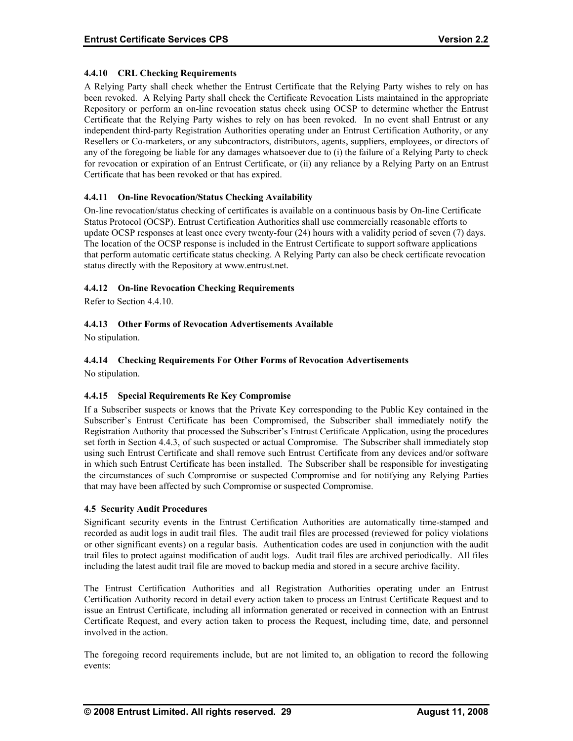# <span id="page-34-0"></span>**4.4.10 CRL Checking Requirements**

A Relying Party shall check whether the Entrust Certificate that the Relying Party wishes to rely on has been revoked. A Relying Party shall check the Certificate Revocation Lists maintained in the appropriate Repository or perform an on-line revocation status check using OCSP to determine whether the Entrust Certificate that the Relying Party wishes to rely on has been revoked. In no event shall Entrust or any independent third-party Registration Authorities operating under an Entrust Certification Authority, or any Resellers or Co-marketers, or any subcontractors, distributors, agents, suppliers, employees, or directors of any of the foregoing be liable for any damages whatsoever due to (i) the failure of a Relying Party to check for revocation or expiration of an Entrust Certificate, or (ii) any reliance by a Relying Party on an Entrust Certificate that has been revoked or that has expired.

# **4.4.11 On-line Revocation/Status Checking Availability**

On-line revocation/status checking of certificates is available on a continuous basis by On-line Certificate Status Protocol (OCSP). Entrust Certification Authorities shall use commercially reasonable efforts to update OCSP responses at least once every twenty-four (24) hours with a validity period of seven (7) days. The location of the OCSP response is included in the Entrust Certificate to support software applications that perform automatic certificate status checking. A Relying Party can also be check certificate revocation status directly with the Repository at www.entrust.net.

# **4.4.12 On-line Revocation Checking Requirements**

Refer to Section 4.4.10.

# **4.4.13 Other Forms of Revocation Advertisements Available**

No stipulation.

# **4.4.14 Checking Requirements For Other Forms of Revocation Advertisements**

No stipulation.

# **4.4.15 Special Requirements Re Key Compromise**

If a Subscriber suspects or knows that the Private Key corresponding to the Public Key contained in the Subscriber's Entrust Certificate has been Compromised, the Subscriber shall immediately notify the Registration Authority that processed the Subscriber's Entrust Certificate Application, using the procedures set forth in Section 4.4.3, of such suspected or actual Compromise. The Subscriber shall immediately stop using such Entrust Certificate and shall remove such Entrust Certificate from any devices and/or software in which such Entrust Certificate has been installed. The Subscriber shall be responsible for investigating the circumstances of such Compromise or suspected Compromise and for notifying any Relying Parties that may have been affected by such Compromise or suspected Compromise.

#### **4.5 Security Audit Procedures**

Significant security events in the Entrust Certification Authorities are automatically time-stamped and recorded as audit logs in audit trail files. The audit trail files are processed (reviewed for policy violations or other significant events) on a regular basis. Authentication codes are used in conjunction with the audit trail files to protect against modification of audit logs. Audit trail files are archived periodically. All files including the latest audit trail file are moved to backup media and stored in a secure archive facility.

The Entrust Certification Authorities and all Registration Authorities operating under an Entrust Certification Authority record in detail every action taken to process an Entrust Certificate Request and to issue an Entrust Certificate, including all information generated or received in connection with an Entrust Certificate Request, and every action taken to process the Request, including time, date, and personnel involved in the action.

The foregoing record requirements include, but are not limited to, an obligation to record the following events: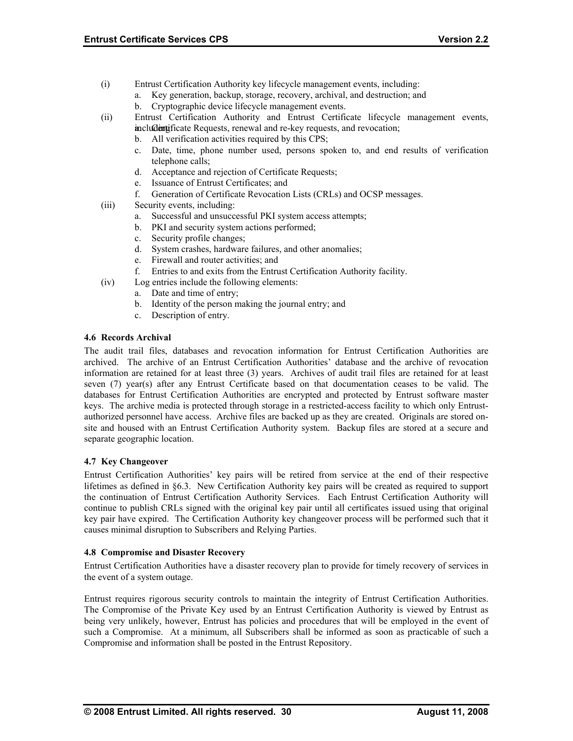- <span id="page-35-0"></span>(i) Entrust Certification Authority key lifecycle management events, including:
	- a. Key generation, backup, storage, recovery, archival, and destruction; and
	- b. Cryptographic device lifecycle management events.
- (ii) Entrust Certification Authority and Entrust Certificate lifecycle management events, includentificate Requests, renewal and re-key requests, and revocation;
	- b. All verification activities required by this CPS;
	- c. Date, time, phone number used, persons spoken to, and end results of verification telephone calls;
	- d. Acceptance and rejection of Certificate Requests;
	- e. Issuance of Entrust Certificates; and
	- f. Generation of Certificate Revocation Lists (CRLs) and OCSP messages.
- (iii) Security events, including:
	- a. Successful and unsuccessful PKI system access attempts;
	- b. PKI and security system actions performed;
	- c. Security profile changes;
	- d. System crashes, hardware failures, and other anomalies;
	- e. Firewall and router activities; and
	- f. Entries to and exits from the Entrust Certification Authority facility.
- (iv) Log entries include the following elements:
	- a. Date and time of entry;
	- b. Identity of the person making the journal entry; and
	- c. Description of entry.

#### **4.6 Records Archival**

The audit trail files, databases and revocation information for Entrust Certification Authorities are archived. The archive of an Entrust Certification Authorities' database and the archive of revocation information are retained for at least three (3) years. Archives of audit trail files are retained for at least seven (7) year(s) after any Entrust Certificate based on that documentation ceases to be valid. The databases for Entrust Certification Authorities are encrypted and protected by Entrust software master keys. The archive media is protected through storage in a restricted-access facility to which only Entrustauthorized personnel have access. Archive files are backed up as they are created. Originals are stored onsite and housed with an Entrust Certification Authority system. Backup files are stored at a secure and separate geographic location.

#### **4.7 Key Changeover**

Entrust Certification Authorities' key pairs will be retired from service at the end of their respective lifetimes as defined in §6.3. New Certification Authority key pairs will be created as required to support the continuation of Entrust Certification Authority Services. Each Entrust Certification Authority will continue to publish CRLs signed with the original key pair until all certificates issued using that original key pair have expired. The Certification Authority key changeover process will be performed such that it causes minimal disruption to Subscribers and Relying Parties.

#### **4.8 Compromise and Disaster Recovery**

Entrust Certification Authorities have a disaster recovery plan to provide for timely recovery of services in the event of a system outage.

Entrust requires rigorous security controls to maintain the integrity of Entrust Certification Authorities. The Compromise of the Private Key used by an Entrust Certification Authority is viewed by Entrust as being very unlikely, however, Entrust has policies and procedures that will be employed in the event of such a Compromise. At a minimum, all Subscribers shall be informed as soon as practicable of such a Compromise and information shall be posted in the Entrust Repository.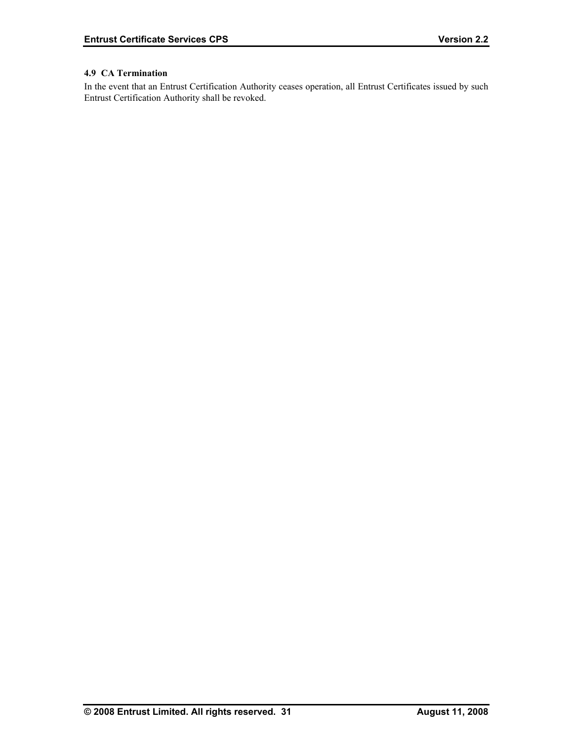# <span id="page-36-0"></span>**4.9 CA Termination**

In the event that an Entrust Certification Authority ceases operation, all Entrust Certificates issued by such Entrust Certification Authority shall be revoked.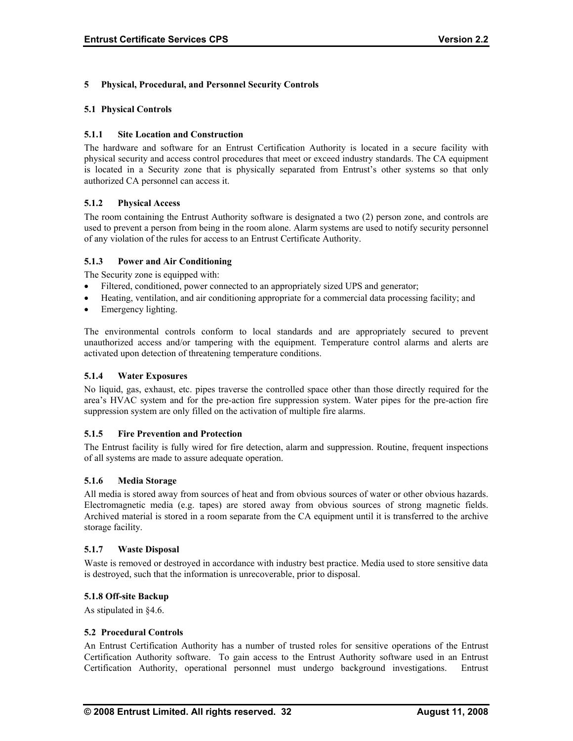# <span id="page-37-0"></span>**5 Physical, Procedural, and Personnel Security Controls**

#### **5.1 Physical Controls**

# **5.1.1 Site Location and Construction**

The hardware and software for an Entrust Certification Authority is located in a secure facility with physical security and access control procedures that meet or exceed industry standards. The CA equipment is located in a Security zone that is physically separated from Entrust's other systems so that only authorized CA personnel can access it.

# **5.1.2 Physical Access**

The room containing the Entrust Authority software is designated a two (2) person zone, and controls are used to prevent a person from being in the room alone. Alarm systems are used to notify security personnel of any violation of the rules for access to an Entrust Certificate Authority.

# **5.1.3 Power and Air Conditioning**

The Security zone is equipped with:

- Filtered, conditioned, power connected to an appropriately sized UPS and generator;
- Heating, ventilation, and air conditioning appropriate for a commercial data processing facility; and
- Emergency lighting.

The environmental controls conform to local standards and are appropriately secured to prevent unauthorized access and/or tampering with the equipment. Temperature control alarms and alerts are activated upon detection of threatening temperature conditions.

# **5.1.4 Water Exposures**

No liquid, gas, exhaust, etc. pipes traverse the controlled space other than those directly required for the area's HVAC system and for the pre-action fire suppression system. Water pipes for the pre-action fire suppression system are only filled on the activation of multiple fire alarms.

#### **5.1.5 Fire Prevention and Protection**

The Entrust facility is fully wired for fire detection, alarm and suppression. Routine, frequent inspections of all systems are made to assure adequate operation.

#### **5.1.6 Media Storage**

All media is stored away from sources of heat and from obvious sources of water or other obvious hazards. Electromagnetic media (e.g. tapes) are stored away from obvious sources of strong magnetic fields. Archived material is stored in a room separate from the CA equipment until it is transferred to the archive storage facility.

#### **5.1.7 Waste Disposal**

Waste is removed or destroyed in accordance with industry best practice. Media used to store sensitive data is destroyed, such that the information is unrecoverable, prior to disposal.

#### **5.1.8 Off-site Backup**

As stipulated in §4.6.

#### **5.2 Procedural Controls**

An Entrust Certification Authority has a number of trusted roles for sensitive operations of the Entrust Certification Authority software. To gain access to the Entrust Authority software used in an Entrust Certification Authority, operational personnel must undergo background investigations. Entrust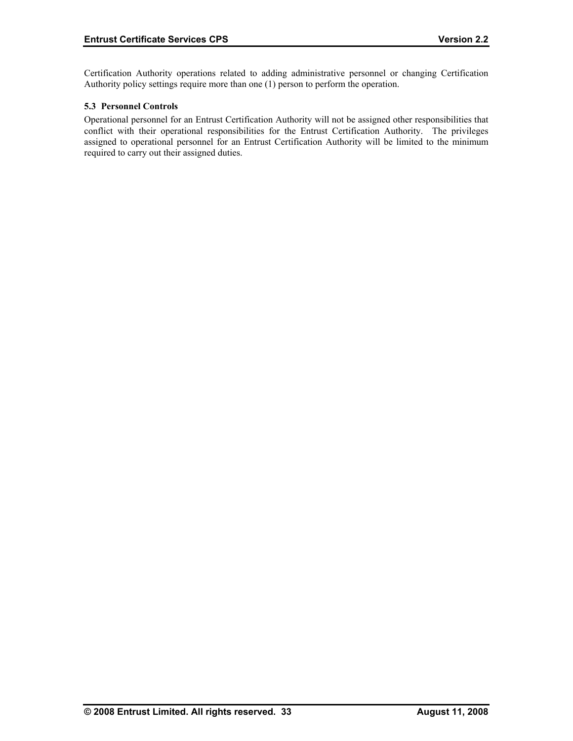<span id="page-38-0"></span>Certification Authority operations related to adding administrative personnel or changing Certification Authority policy settings require more than one (1) person to perform the operation.

# **5.3 Personnel Controls**

Operational personnel for an Entrust Certification Authority will not be assigned other responsibilities that conflict with their operational responsibilities for the Entrust Certification Authority. The privileges assigned to operational personnel for an Entrust Certification Authority will be limited to the minimum required to carry out their assigned duties.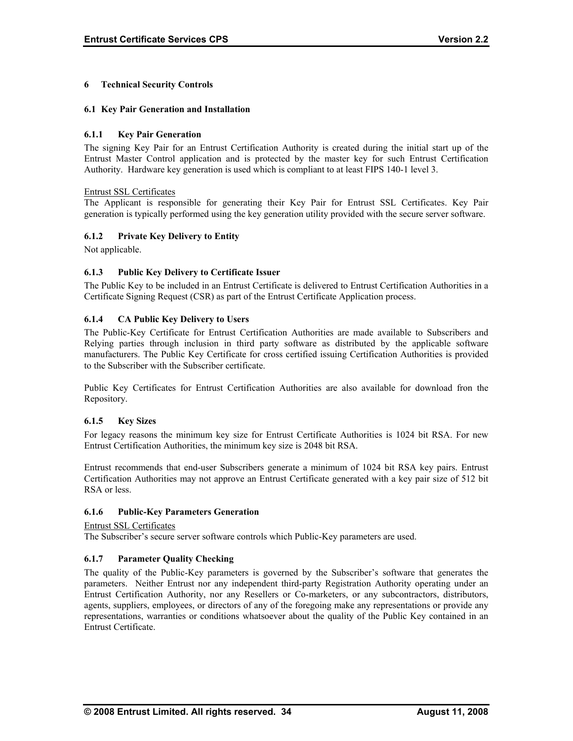# <span id="page-39-0"></span>**6 Technical Security Controls**

#### **6.1 Key Pair Generation and Installation**

# **6.1.1 Key Pair Generation**

The signing Key Pair for an Entrust Certification Authority is created during the initial start up of the Entrust Master Control application and is protected by the master key for such Entrust Certification Authority. Hardware key generation is used which is compliant to at least FIPS 140-1 level 3.

#### Entrust SSL Certificates

The Applicant is responsible for generating their Key Pair for Entrust SSL Certificates. Key Pair generation is typically performed using the key generation utility provided with the secure server software.

# **6.1.2 Private Key Delivery to Entity**

Not applicable.

# **6.1.3 Public Key Delivery to Certificate Issuer**

The Public Key to be included in an Entrust Certificate is delivered to Entrust Certification Authorities in a Certificate Signing Request (CSR) as part of the Entrust Certificate Application process.

# **6.1.4 CA Public Key Delivery to Users**

The Public-Key Certificate for Entrust Certification Authorities are made available to Subscribers and Relying parties through inclusion in third party software as distributed by the applicable software manufacturers. The Public Key Certificate for cross certified issuing Certification Authorities is provided to the Subscriber with the Subscriber certificate.

Public Key Certificates for Entrust Certification Authorities are also available for download fron the Repository.

#### **6.1.5 Key Sizes**

For legacy reasons the minimum key size for Entrust Certificate Authorities is 1024 bit RSA. For new Entrust Certification Authorities, the minimum key size is 2048 bit RSA.

Entrust recommends that end-user Subscribers generate a minimum of 1024 bit RSA key pairs. Entrust Certification Authorities may not approve an Entrust Certificate generated with a key pair size of 512 bit RSA or less.

#### **6.1.6 Public-Key Parameters Generation**

Entrust SSL Certificates

The Subscriber's secure server software controls which Public-Key parameters are used.

#### **6.1.7 Parameter Quality Checking**

The quality of the Public-Key parameters is governed by the Subscriber's software that generates the parameters. Neither Entrust nor any independent third-party Registration Authority operating under an Entrust Certification Authority, nor any Resellers or Co-marketers, or any subcontractors, distributors, agents, suppliers, employees, or directors of any of the foregoing make any representations or provide any representations, warranties or conditions whatsoever about the quality of the Public Key contained in an Entrust Certificate.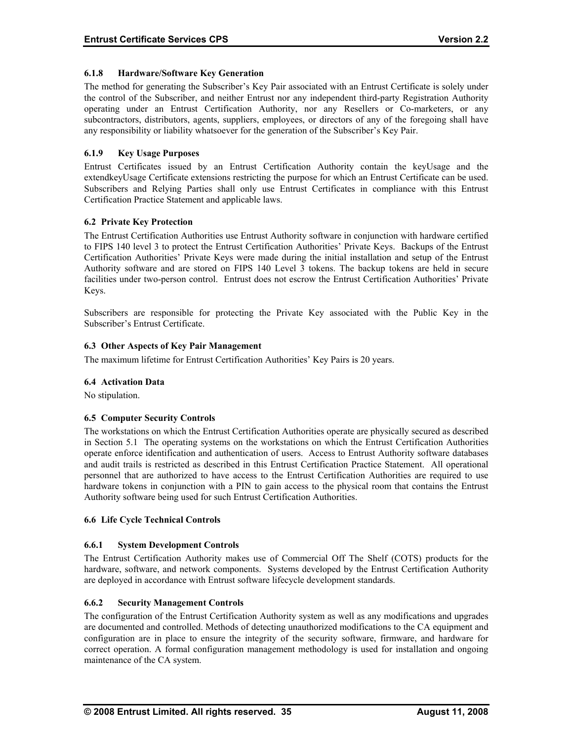# <span id="page-40-0"></span>**6.1.8 Hardware/Software Key Generation**

The method for generating the Subscriber's Key Pair associated with an Entrust Certificate is solely under the control of the Subscriber, and neither Entrust nor any independent third-party Registration Authority operating under an Entrust Certification Authority, nor any Resellers or Co-marketers, or any subcontractors, distributors, agents, suppliers, employees, or directors of any of the foregoing shall have any responsibility or liability whatsoever for the generation of the Subscriber's Key Pair.

# **6.1.9 Key Usage Purposes**

Entrust Certificates issued by an Entrust Certification Authority contain the keyUsage and the extendkeyUsage Certificate extensions restricting the purpose for which an Entrust Certificate can be used. Subscribers and Relying Parties shall only use Entrust Certificates in compliance with this Entrust Certification Practice Statement and applicable laws.

# **6.2 Private Key Protection**

The Entrust Certification Authorities use Entrust Authority software in conjunction with hardware certified to FIPS 140 level 3 to protect the Entrust Certification Authorities' Private Keys. Backups of the Entrust Certification Authorities' Private Keys were made during the initial installation and setup of the Entrust Authority software and are stored on FIPS 140 Level 3 tokens. The backup tokens are held in secure facilities under two-person control. Entrust does not escrow the Entrust Certification Authorities' Private Keys.

Subscribers are responsible for protecting the Private Key associated with the Public Key in the Subscriber's Entrust Certificate.

# **6.3 Other Aspects of Key Pair Management**

The maximum lifetime for Entrust Certification Authorities' Key Pairs is 20 years.

#### **6.4 Activation Data**

No stipulation.

#### **6.5 Computer Security Controls**

The workstations on which the Entrust Certification Authorities operate are physically secured as described in Section 5.1 The operating systems on the workstations on which the Entrust Certification Authorities operate enforce identification and authentication of users. Access to Entrust Authority software databases and audit trails is restricted as described in this Entrust Certification Practice Statement. All operational personnel that are authorized to have access to the Entrust Certification Authorities are required to use hardware tokens in conjunction with a PIN to gain access to the physical room that contains the Entrust Authority software being used for such Entrust Certification Authorities.

#### **6.6 Life Cycle Technical Controls**

# **6.6.1 System Development Controls**

The Entrust Certification Authority makes use of Commercial Off The Shelf (COTS) products for the hardware, software, and network components. Systems developed by the Entrust Certification Authority are deployed in accordance with Entrust software lifecycle development standards.

#### **6.6.2 Security Management Controls**

The configuration of the Entrust Certification Authority system as well as any modifications and upgrades are documented and controlled. Methods of detecting unauthorized modifications to the CA equipment and configuration are in place to ensure the integrity of the security software, firmware, and hardware for correct operation. A formal configuration management methodology is used for installation and ongoing maintenance of the CA system.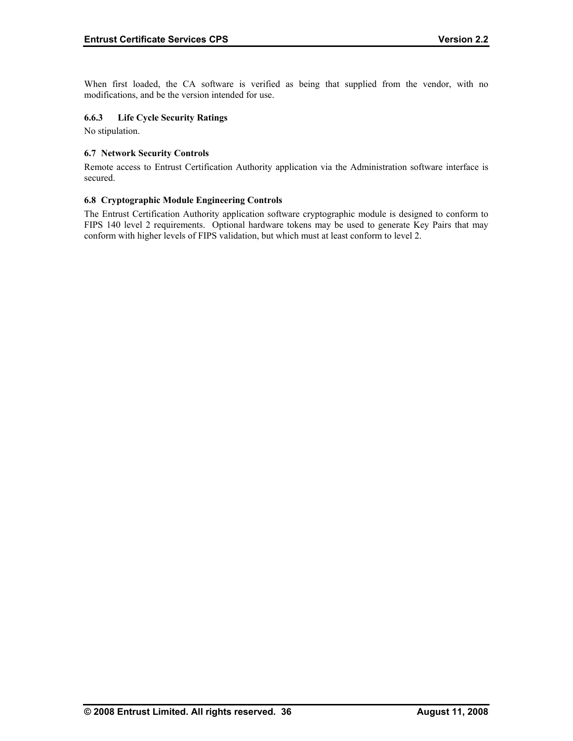<span id="page-41-0"></span>When first loaded, the CA software is verified as being that supplied from the vendor, with no modifications, and be the version intended for use.

# **6.6.3 Life Cycle Security Ratings**

No stipulation.

# **6.7 Network Security Controls**

Remote access to Entrust Certification Authority application via the Administration software interface is secured.

# **6.8 Cryptographic Module Engineering Controls**

The Entrust Certification Authority application software cryptographic module is designed to conform to FIPS 140 level 2 requirements. Optional hardware tokens may be used to generate Key Pairs that may conform with higher levels of FIPS validation, but which must at least conform to level 2.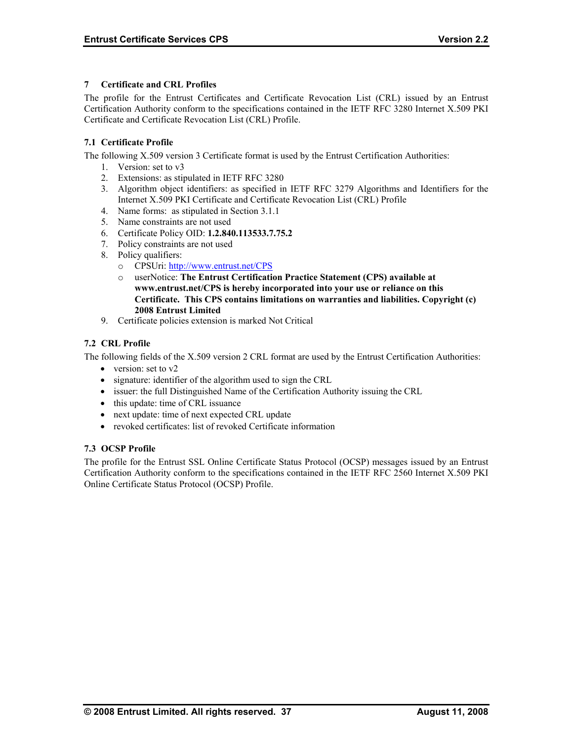# <span id="page-42-0"></span>**7 Certificate and CRL Profiles**

The profile for the Entrust Certificates and Certificate Revocation List (CRL) issued by an Entrust Certification Authority conform to the specifications contained in the IETF RFC 3280 Internet X.509 PKI Certificate and Certificate Revocation List (CRL) Profile.

# **7.1 Certificate Profile**

The following X.509 version 3 Certificate format is used by the Entrust Certification Authorities:

- 1. Version: set to v3
- 2. Extensions: as stipulated in IETF RFC 3280
- 3. Algorithm object identifiers: as specified in IETF RFC 3279 Algorithms and Identifiers for the Internet X.509 PKI Certificate and Certificate Revocation List (CRL) Profile
- 4. Name forms: as stipulated in Section 3.1.1
- 5. Name constraints are not used
- 6. Certificate Policy OID: **1.2.840.113533.7.75.2**
- 7. Policy constraints are not used
- 8. Policy qualifiers:
	- o CPSUri:<http://www.entrust.net/CPS>
	- o userNotice: **The Entrust Certification Practice Statement (CPS) available at www.entrust.net/CPS is hereby incorporated into your use or reliance on this Certificate. This CPS contains limitations on warranties and liabilities. Copyright (c) 2008 Entrust Limited**
- 9. Certificate policies extension is marked Not Critical

# **7.2 CRL Profile**

The following fields of the X.509 version 2 CRL format are used by the Entrust Certification Authorities:

- version: set to v2
- signature: identifier of the algorithm used to sign the CRL
- issuer: the full Distinguished Name of the Certification Authority issuing the CRL
- this update: time of CRL issuance
- next update: time of next expected CRL update
- revoked certificates: list of revoked Certificate information

#### **7.3 OCSP Profile**

The profile for the Entrust SSL Online Certificate Status Protocol (OCSP) messages issued by an Entrust Certification Authority conform to the specifications contained in the IETF RFC 2560 Internet X.509 PKI Online Certificate Status Protocol (OCSP) Profile.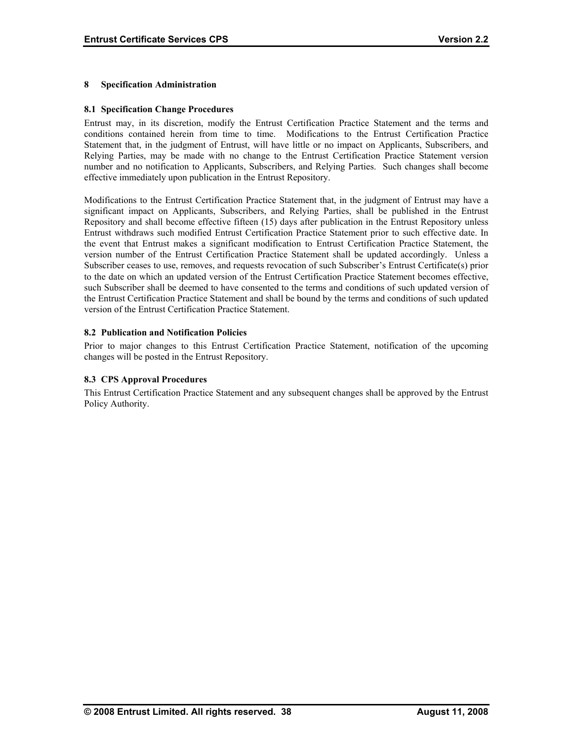# <span id="page-43-0"></span>**8 Specification Administration**

# **8.1 Specification Change Procedures**

Entrust may, in its discretion, modify the Entrust Certification Practice Statement and the terms and conditions contained herein from time to time. Modifications to the Entrust Certification Practice Statement that, in the judgment of Entrust, will have little or no impact on Applicants, Subscribers, and Relying Parties, may be made with no change to the Entrust Certification Practice Statement version number and no notification to Applicants, Subscribers, and Relying Parties. Such changes shall become effective immediately upon publication in the Entrust Repository.

Modifications to the Entrust Certification Practice Statement that, in the judgment of Entrust may have a significant impact on Applicants, Subscribers, and Relying Parties, shall be published in the Entrust Repository and shall become effective fifteen (15) days after publication in the Entrust Repository unless Entrust withdraws such modified Entrust Certification Practice Statement prior to such effective date. In the event that Entrust makes a significant modification to Entrust Certification Practice Statement, the version number of the Entrust Certification Practice Statement shall be updated accordingly. Unless a Subscriber ceases to use, removes, and requests revocation of such Subscriber's Entrust Certificate(s) prior to the date on which an updated version of the Entrust Certification Practice Statement becomes effective, such Subscriber shall be deemed to have consented to the terms and conditions of such updated version of the Entrust Certification Practice Statement and shall be bound by the terms and conditions of such updated version of the Entrust Certification Practice Statement.

# **8.2 Publication and Notification Policies**

Prior to major changes to this Entrust Certification Practice Statement, notification of the upcoming changes will be posted in the Entrust Repository.

#### **8.3 CPS Approval Procedures**

This Entrust Certification Practice Statement and any subsequent changes shall be approved by the Entrust Policy Authority.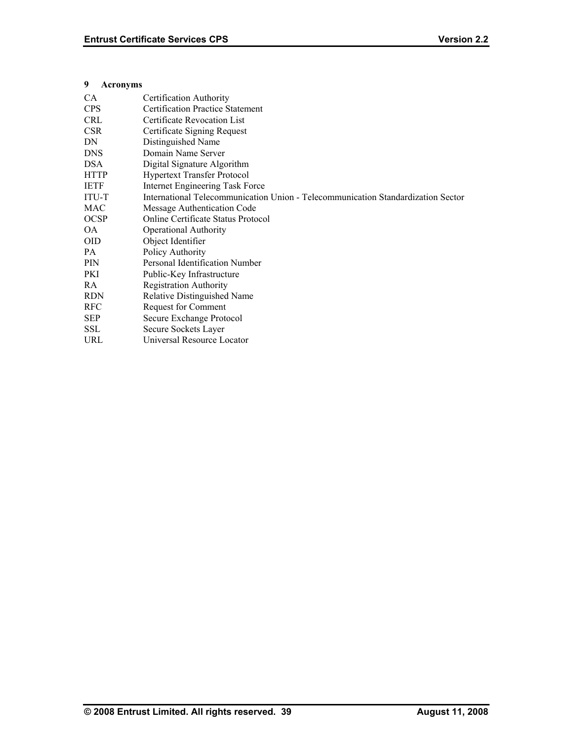# <span id="page-44-0"></span>**9 Acronyms**

| <b>CA</b>   | Certification Authority                                                          |
|-------------|----------------------------------------------------------------------------------|
| <b>CPS</b>  | <b>Certification Practice Statement</b>                                          |
| <b>CRL</b>  | Certificate Revocation List                                                      |
| <b>CSR</b>  | Certificate Signing Request                                                      |
| DN          | Distinguished Name                                                               |
| <b>DNS</b>  | Domain Name Server                                                               |
| <b>DSA</b>  | Digital Signature Algorithm                                                      |
| <b>HTTP</b> | <b>Hypertext Transfer Protocol</b>                                               |
| <b>IETF</b> | Internet Engineering Task Force                                                  |
| ITU-T       | International Telecommunication Union - Telecommunication Standardization Sector |
| <b>MAC</b>  | Message Authentication Code                                                      |
| <b>OCSP</b> | <b>Online Certificate Status Protocol</b>                                        |
| OA.         | <b>Operational Authority</b>                                                     |
| <b>OID</b>  | Object Identifier                                                                |
| PA.         | Policy Authority                                                                 |
| <b>PIN</b>  | Personal Identification Number                                                   |
| PKI         | Public-Key Infrastructure                                                        |
| RA          | <b>Registration Authority</b>                                                    |
| <b>RDN</b>  | Relative Distinguished Name                                                      |
| <b>RFC</b>  | <b>Request for Comment</b>                                                       |
| <b>SEP</b>  | Secure Exchange Protocol                                                         |
| <b>SSL</b>  | Secure Sockets Layer                                                             |
| URL         | Universal Resource Locator                                                       |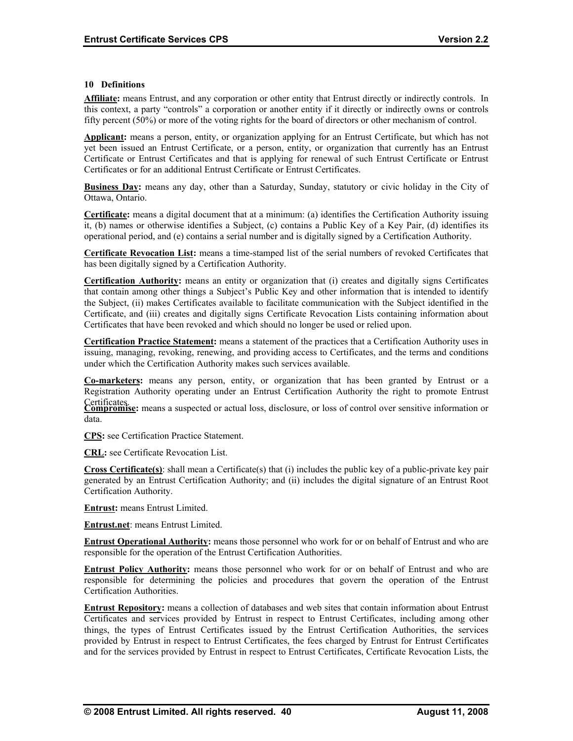#### <span id="page-45-0"></span>**10 Definitions**

**Affiliate:** means Entrust, and any corporation or other entity that Entrust directly or indirectly controls. In this context, a party "controls" a corporation or another entity if it directly or indirectly owns or controls fifty percent (50%) or more of the voting rights for the board of directors or other mechanism of control.

**Applicant:** means a person, entity, or organization applying for an Entrust Certificate, but which has not yet been issued an Entrust Certificate, or a person, entity, or organization that currently has an Entrust Certificate or Entrust Certificates and that is applying for renewal of such Entrust Certificate or Entrust Certificates or for an additional Entrust Certificate or Entrust Certificates.

**Business Day:** means any day, other than a Saturday, Sunday, statutory or civic holiday in the City of Ottawa, Ontario.

**Certificate:** means a digital document that at a minimum: (a) identifies the Certification Authority issuing it, (b) names or otherwise identifies a Subject, (c) contains a Public Key of a Key Pair, (d) identifies its operational period, and (e) contains a serial number and is digitally signed by a Certification Authority.

**Certificate Revocation List:** means a time-stamped list of the serial numbers of revoked Certificates that has been digitally signed by a Certification Authority.

**Certification Authority:** means an entity or organization that (i) creates and digitally signs Certificates that contain among other things a Subject's Public Key and other information that is intended to identify the Subject, (ii) makes Certificates available to facilitate communication with the Subject identified in the Certificate, and (iii) creates and digitally signs Certificate Revocation Lists containing information about Certificates that have been revoked and which should no longer be used or relied upon.

**Certification Practice Statement:** means a statement of the practices that a Certification Authority uses in issuing, managing, revoking, renewing, and providing access to Certificates, and the terms and conditions under which the Certification Authority makes such services available.

**Co-marketers:** means any person, entity, or organization that has been granted by Entrust or a Registration Authority operating under an Entrust Certification Authority the right to promote Entrust

Certificates. **Compromise:** means a suspected or actual loss, disclosure, or loss of control over sensitive information or data.

**CPS:** see Certification Practice Statement.

**CRL:** see Certificate Revocation List.

**Cross Certificate(s)**: shall mean a Certificate(s) that (i) includes the public key of a public-private key pair generated by an Entrust Certification Authority; and (ii) includes the digital signature of an Entrust Root Certification Authority.

**Entrust:** means Entrust Limited.

**Entrust.net**: means Entrust Limited.

**Entrust Operational Authority:** means those personnel who work for or on behalf of Entrust and who are responsible for the operation of the Entrust Certification Authorities.

**Entrust Policy Authority:** means those personnel who work for or on behalf of Entrust and who are responsible for determining the policies and procedures that govern the operation of the Entrust Certification Authorities.

**Entrust Repository :** means a collection of databases and web sites that contain information about Entrust Certificates and services provided by Entrust in respect to Entrust Certificates, including among other things, the types of Entrust Certificates issued by the Entrust Certification Authorities, the services provided by Entrust in respect to Entrust Certificates, the fees charged by Entrust for Entrust Certificates and for the services provided by Entrust in respect to Entrust Certificates, Certificate Revocation Lists, the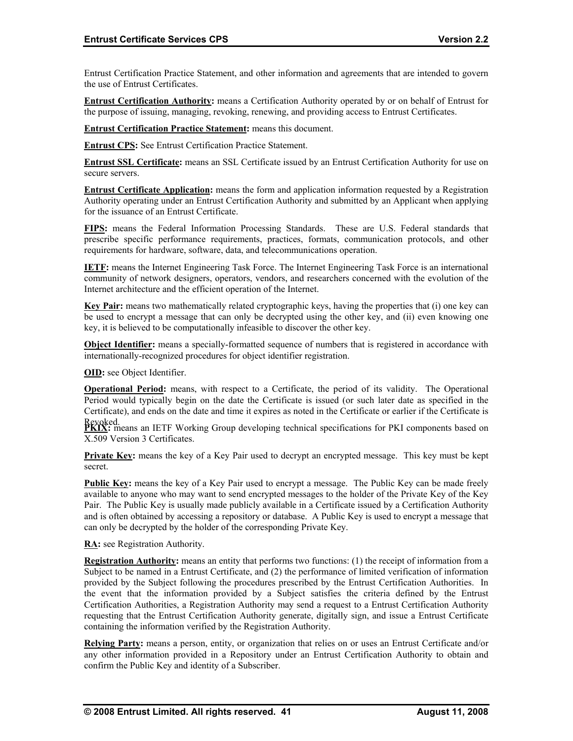Entrust Certification Practice Statement, and other information and agreements that are intended to govern the use of Entrust Certificates.

**Entrust Certification Authority:** means a Certification Authority operated by or on behalf of Entrust for the purpose of issuing, managing, revoking, renewing, and providing access to Entrust Certificates.

**Entrust Certification Practice Statement:** means this document.

**Entrust CPS:** See Entrust Certification Practice Statement.

**Entrust SSL Certificate:** means an SSL Certificate issued by an Entrust Certification Authority for use on secure servers.

**Entrust Certificate Application:** means the form and application information requested by a Registration Authority operating under an Entrust Certification Authority and submitted by an Applicant when applying for the issuance of an Entrust Certificate.

**FIPS:** means the Federal Information Processing Standards. These are U.S. Federal standards that prescribe specific performance requirements, practices, formats, communication protocols, and other requirements for hardware, software, data, and telecommunications operation.

**IETF:** means the Internet Engineering Task Force. The Internet Engineering Task Force is an international community of network designers, operators, vendors, and researchers concerned with the evolution of the Internet architecture and the efficient operation of the Internet.

**Key Pair:** means two mathematically related cryptographic keys, having the properties that (i) one key can be used to encrypt a message that can only be decrypted using the other key, and (ii) even knowing one key, it is believed to be computationally infeasible to discover the other key.

**Object Identifier:** means a specially-formatted sequence of numbers that is registered in accordance with internationally-recognized procedures for object identifier registration.

**OID:** see Object Identifier.

**Operational Period:** means, with respect to a Certificate, the period of its validity. The Operational Period would typically begin on the date the Certificate is issued (or such later date as specified in the Certificate), and ends on the date and time it expires as noted in the Certificate or earlier if the Certificate is

Revoked.<br>**PKIX:** means an IETF Working Group developing technical specifications for PKI components based on X.509 Version 3 Certificates.

**Private Key:** means the key of a Key Pair used to decrypt an encrypted message. This key must be kept secret.

Public Key: means the key of a Key Pair used to encrypt a message. The Public Key can be made freely available to anyone who may want to send encrypted messages to the holder of the Private Key of the Key Pair. The Public Key is usually made publicly available in a Certificate issued by a Certification Authority and is often obtained by accessing a repository or database. A Public Key is used to encrypt a message that can only be decrypted by the holder of the corresponding Private Key.

**RA :** see Registration Authority.

**Registration Authority:** means an entity that performs two functions: (1) the receipt of information from a Subject to be named in a Entrust Certificate, and (2) the performance of limited verification of information provided by the Subject following the procedures prescribed by the Entrust Certification Authorities. In the event that the information provided by a Subject satisfies the criteria defined by the Entrust Certification Authorities, a Registration Authority may send a request to a Entrust Certification Authority requesting that the Entrust Certification Authority generate, digitally sign, and issue a Entrust Certificate containing the information verified by the Registration Authority.

**Relying Party :** means a person, entity, or organization that relies on or uses an Entrust Certificate and/or any other information provided in a Repository under an Entrust Certification Authority to obtain and confirm the Public Key and identity of a Subscriber.